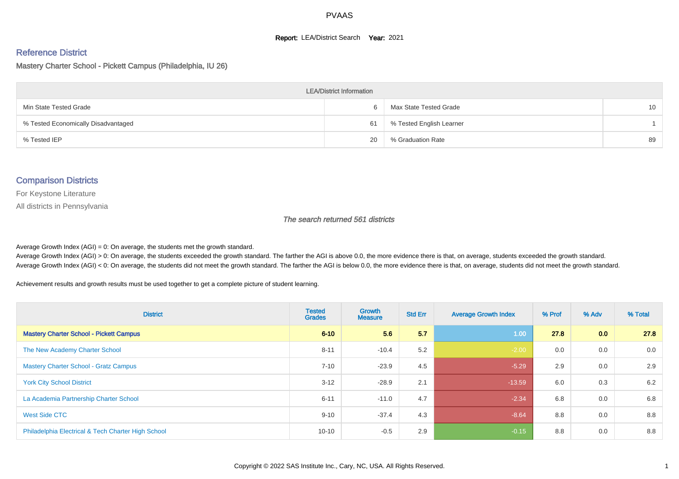#### **Report: LEA/District Search Year: 2021**

# Reference District

Mastery Charter School - Pickett Campus (Philadelphia, IU 26)

| <b>LEA/District Information</b>     |    |                          |                 |  |  |  |  |  |  |
|-------------------------------------|----|--------------------------|-----------------|--|--|--|--|--|--|
| Min State Tested Grade              |    | Max State Tested Grade   | 10 <sup>1</sup> |  |  |  |  |  |  |
| % Tested Economically Disadvantaged | 61 | % Tested English Learner |                 |  |  |  |  |  |  |
| % Tested IEP                        | 20 | % Graduation Rate        | 89              |  |  |  |  |  |  |

#### Comparison Districts

For Keystone Literature

All districts in Pennsylvania

The search returned 561 districts

Average Growth Index  $(AGI) = 0$ : On average, the students met the growth standard.

Average Growth Index (AGI) > 0: On average, the students exceeded the growth standard. The farther the AGI is above 0.0, the more evidence there is that, on average, students exceeded the growth standard. Average Growth Index (AGI) < 0: On average, the students did not meet the growth standard. The farther the AGI is below 0.0, the more evidence there is that, on average, students did not meet the growth standard.

Achievement results and growth results must be used together to get a complete picture of student learning.

| <b>District</b>                                    | <b>Tested</b><br><b>Grades</b> | Growth<br><b>Measure</b> | <b>Std Err</b> | <b>Average Growth Index</b> | % Prof | % Adv            | % Total |
|----------------------------------------------------|--------------------------------|--------------------------|----------------|-----------------------------|--------|------------------|---------|
| <b>Mastery Charter School - Pickett Campus</b>     | $6 - 10$                       | 5.6                      | 5.7            | 1.00                        | 27.8   | 0.0 <sub>1</sub> | 27.8    |
| The New Academy Charter School                     | $8 - 11$                       | $-10.4$                  | 5.2            | $-2.00$                     | 0.0    | 0.0              | 0.0     |
| <b>Mastery Charter School - Gratz Campus</b>       | $7 - 10$                       | $-23.9$                  | 4.5            | $-5.29$                     | 2.9    | 0.0              | 2.9     |
| <b>York City School District</b>                   | $3 - 12$                       | $-28.9$                  | 2.1            | $-13.59$                    | 6.0    | 0.3              | 6.2     |
| La Academia Partnership Charter School             | $6 - 11$                       | $-11.0$                  | 4.7            | $-2.34$                     | 6.8    | 0.0              | 6.8     |
| West Side CTC                                      | $9 - 10$                       | $-37.4$                  | 4.3            | $-8.64$                     | 8.8    | 0.0              | 8.8     |
| Philadelphia Electrical & Tech Charter High School | $10 - 10$                      | $-0.5$                   | 2.9            | $-0.15$                     | 8.8    | 0.0              | 8.8     |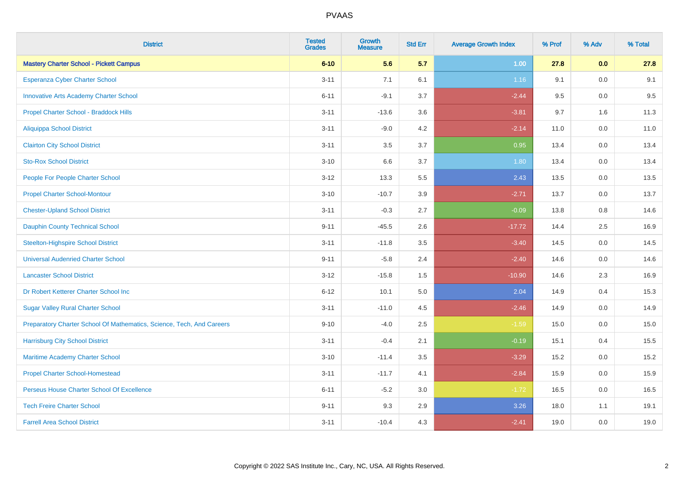| <b>District</b>                                                       | <b>Tested</b><br><b>Grades</b> | <b>Growth</b><br><b>Measure</b> | <b>Std Err</b> | <b>Average Growth Index</b> | % Prof | % Adv   | % Total |
|-----------------------------------------------------------------------|--------------------------------|---------------------------------|----------------|-----------------------------|--------|---------|---------|
| <b>Mastery Charter School - Pickett Campus</b>                        | $6 - 10$                       | 5.6                             | 5.7            | 1.00                        | 27.8   | 0.0     | 27.8    |
| Esperanza Cyber Charter School                                        | $3 - 11$                       | 7.1                             | 6.1            | 1.16                        | 9.1    | 0.0     | 9.1     |
| <b>Innovative Arts Academy Charter School</b>                         | $6 - 11$                       | $-9.1$                          | 3.7            | $-2.44$                     | 9.5    | 0.0     | 9.5     |
| Propel Charter School - Braddock Hills                                | $3 - 11$                       | $-13.6$                         | 3.6            | $-3.81$                     | 9.7    | 1.6     | 11.3    |
| <b>Aliquippa School District</b>                                      | $3 - 11$                       | $-9.0$                          | 4.2            | $-2.14$                     | 11.0   | 0.0     | 11.0    |
| <b>Clairton City School District</b>                                  | $3 - 11$                       | 3.5                             | 3.7            | 0.95                        | 13.4   | 0.0     | 13.4    |
| <b>Sto-Rox School District</b>                                        | $3 - 10$                       | 6.6                             | 3.7            | 1.80                        | 13.4   | $0.0\,$ | 13.4    |
| People For People Charter School                                      | $3 - 12$                       | 13.3                            | 5.5            | 2.43                        | 13.5   | 0.0     | 13.5    |
| <b>Propel Charter School-Montour</b>                                  | $3 - 10$                       | $-10.7$                         | 3.9            | $-2.71$                     | 13.7   | 0.0     | 13.7    |
| <b>Chester-Upland School District</b>                                 | $3 - 11$                       | $-0.3$                          | 2.7            | $-0.09$                     | 13.8   | $0.8\,$ | 14.6    |
| <b>Dauphin County Technical School</b>                                | $9 - 11$                       | $-45.5$                         | 2.6            | $-17.72$                    | 14.4   | 2.5     | 16.9    |
| <b>Steelton-Highspire School District</b>                             | $3 - 11$                       | $-11.8$                         | 3.5            | $-3.40$                     | 14.5   | 0.0     | 14.5    |
| <b>Universal Audenried Charter School</b>                             | $9 - 11$                       | $-5.8$                          | 2.4            | $-2.40$                     | 14.6   | 0.0     | 14.6    |
| <b>Lancaster School District</b>                                      | $3 - 12$                       | $-15.8$                         | 1.5            | $-10.90$                    | 14.6   | 2.3     | 16.9    |
| Dr Robert Ketterer Charter School Inc                                 | $6 - 12$                       | 10.1                            | 5.0            | 2.04                        | 14.9   | 0.4     | 15.3    |
| <b>Sugar Valley Rural Charter School</b>                              | $3 - 11$                       | $-11.0$                         | 4.5            | $-2.46$                     | 14.9   | 0.0     | 14.9    |
| Preparatory Charter School Of Mathematics, Science, Tech, And Careers | $9 - 10$                       | $-4.0$                          | 2.5            | $-1.59$                     | 15.0   | 0.0     | 15.0    |
| <b>Harrisburg City School District</b>                                | $3 - 11$                       | $-0.4$                          | 2.1            | $-0.19$                     | 15.1   | 0.4     | 15.5    |
| Maritime Academy Charter School                                       | $3 - 10$                       | $-11.4$                         | 3.5            | $-3.29$                     | 15.2   | 0.0     | 15.2    |
| <b>Propel Charter School-Homestead</b>                                | $3 - 11$                       | $-11.7$                         | 4.1            | $-2.84$                     | 15.9   | 0.0     | 15.9    |
| Perseus House Charter School Of Excellence                            | $6 - 11$                       | $-5.2$                          | 3.0            | $-1.72$                     | 16.5   | 0.0     | 16.5    |
| <b>Tech Freire Charter School</b>                                     | $9 - 11$                       | 9.3                             | 2.9            | 3.26                        | 18.0   | 1.1     | 19.1    |
| <b>Farrell Area School District</b>                                   | $3 - 11$                       | $-10.4$                         | 4.3            | $-2.41$                     | 19.0   | 0.0     | 19.0    |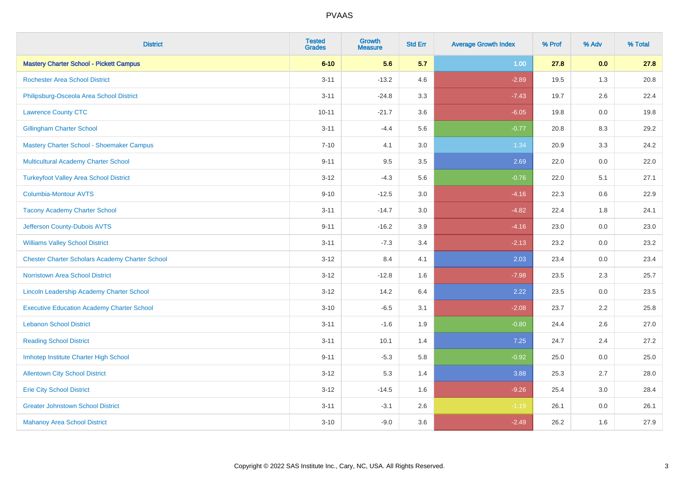| <b>District</b>                                        | <b>Tested</b><br><b>Grades</b> | <b>Growth</b><br><b>Measure</b> | <b>Std Err</b> | <b>Average Growth Index</b> | % Prof | % Adv   | % Total |
|--------------------------------------------------------|--------------------------------|---------------------------------|----------------|-----------------------------|--------|---------|---------|
| <b>Mastery Charter School - Pickett Campus</b>         | $6 - 10$                       | 5.6                             | 5.7            | 1.00                        | 27.8   | 0.0     | 27.8    |
| <b>Rochester Area School District</b>                  | $3 - 11$                       | $-13.2$                         | 4.6            | $-2.89$                     | 19.5   | 1.3     | 20.8    |
| Philipsburg-Osceola Area School District               | $3 - 11$                       | $-24.8$                         | 3.3            | $-7.43$                     | 19.7   | 2.6     | 22.4    |
| <b>Lawrence County CTC</b>                             | $10 - 11$                      | $-21.7$                         | 3.6            | $-6.05$                     | 19.8   | 0.0     | 19.8    |
| <b>Gillingham Charter School</b>                       | $3 - 11$                       | $-4.4$                          | 5.6            | $-0.77$                     | 20.8   | 8.3     | 29.2    |
| Mastery Charter School - Shoemaker Campus              | $7 - 10$                       | 4.1                             | 3.0            | 1.34                        | 20.9   | 3.3     | 24.2    |
| Multicultural Academy Charter School                   | $9 - 11$                       | 9.5                             | 3.5            | 2.69                        | 22.0   | $0.0\,$ | 22.0    |
| <b>Turkeyfoot Valley Area School District</b>          | $3 - 12$                       | $-4.3$                          | 5.6            | $-0.76$                     | 22.0   | 5.1     | 27.1    |
| <b>Columbia-Montour AVTS</b>                           | $9 - 10$                       | $-12.5$                         | 3.0            | $-4.16$                     | 22.3   | 0.6     | 22.9    |
| <b>Tacony Academy Charter School</b>                   | $3 - 11$                       | $-14.7$                         | 3.0            | $-4.82$                     | 22.4   | 1.8     | 24.1    |
| Jefferson County-Dubois AVTS                           | $9 - 11$                       | $-16.2$                         | 3.9            | $-4.16$                     | 23.0   | 0.0     | 23.0    |
| <b>Williams Valley School District</b>                 | $3 - 11$                       | $-7.3$                          | 3.4            | $-2.13$                     | 23.2   | 0.0     | 23.2    |
| <b>Chester Charter Scholars Academy Charter School</b> | $3 - 12$                       | 8.4                             | 4.1            | 2.03                        | 23.4   | 0.0     | 23.4    |
| <b>Norristown Area School District</b>                 | $3 - 12$                       | $-12.8$                         | 1.6            | $-7.98$                     | 23.5   | 2.3     | 25.7    |
| Lincoln Leadership Academy Charter School              | $3 - 12$                       | 14.2                            | 6.4            | 2.22                        | 23.5   | 0.0     | 23.5    |
| <b>Executive Education Academy Charter School</b>      | $3 - 10$                       | $-6.5$                          | 3.1            | $-2.08$                     | 23.7   | 2.2     | 25.8    |
| <b>Lebanon School District</b>                         | $3 - 11$                       | $-1.6$                          | 1.9            | $-0.80$                     | 24.4   | 2.6     | 27.0    |
| <b>Reading School District</b>                         | $3 - 11$                       | 10.1                            | 1.4            | 7.25                        | 24.7   | 2.4     | 27.2    |
| Imhotep Institute Charter High School                  | $9 - 11$                       | $-5.3$                          | 5.8            | $-0.92$                     | 25.0   | 0.0     | 25.0    |
| <b>Allentown City School District</b>                  | $3 - 12$                       | 5.3                             | 1.4            | 3.88                        | 25.3   | 2.7     | 28.0    |
| <b>Erie City School District</b>                       | $3 - 12$                       | $-14.5$                         | 1.6            | $-9.26$                     | 25.4   | 3.0     | 28.4    |
| <b>Greater Johnstown School District</b>               | $3 - 11$                       | $-3.1$                          | 2.6            | $-1.19$                     | 26.1   | 0.0     | 26.1    |
| <b>Mahanoy Area School District</b>                    | $3 - 10$                       | $-9.0$                          | 3.6            | $-2.49$                     | 26.2   | 1.6     | 27.9    |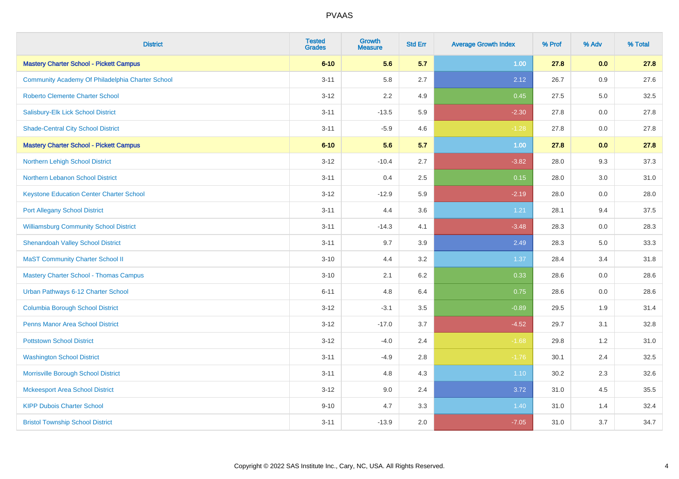| <b>District</b>                                  | <b>Tested</b><br><b>Grades</b> | Growth<br><b>Measure</b> | <b>Std Err</b> | <b>Average Growth Index</b> | % Prof | % Adv | % Total |
|--------------------------------------------------|--------------------------------|--------------------------|----------------|-----------------------------|--------|-------|---------|
| <b>Mastery Charter School - Pickett Campus</b>   | $6 - 10$                       | 5.6                      | 5.7            | 1.00                        | 27.8   | 0.0   | 27.8    |
| Community Academy Of Philadelphia Charter School | $3 - 11$                       | 5.8                      | 2.7            | 2.12                        | 26.7   | 0.9   | 27.6    |
| <b>Roberto Clemente Charter School</b>           | $3 - 12$                       | 2.2                      | 4.9            | 0.45                        | 27.5   | 5.0   | 32.5    |
| Salisbury-Elk Lick School District               | $3 - 11$                       | $-13.5$                  | 5.9            | $-2.30$                     | 27.8   | 0.0   | 27.8    |
| <b>Shade-Central City School District</b>        | $3 - 11$                       | $-5.9$                   | 4.6            | $-1.28$                     | 27.8   | 0.0   | 27.8    |
| <b>Mastery Charter School - Pickett Campus</b>   | $6 - 10$                       | 5.6                      | 5.7            | 1.00                        | 27.8   | 0.0   | 27.8    |
| Northern Lehigh School District                  | $3 - 12$                       | $-10.4$                  | 2.7            | $-3.82$                     | 28.0   | 9.3   | 37.3    |
| Northern Lebanon School District                 | $3 - 11$                       | 0.4                      | 2.5            | 0.15                        | 28.0   | 3.0   | 31.0    |
| <b>Keystone Education Center Charter School</b>  | $3 - 12$                       | $-12.9$                  | 5.9            | $-2.19$                     | 28.0   | 0.0   | 28.0    |
| <b>Port Allegany School District</b>             | $3 - 11$                       | 4.4                      | 3.6            | 1.21                        | 28.1   | 9.4   | 37.5    |
| <b>Williamsburg Community School District</b>    | $3 - 11$                       | $-14.3$                  | 4.1            | $-3.48$                     | 28.3   | 0.0   | 28.3    |
| <b>Shenandoah Valley School District</b>         | $3 - 11$                       | 9.7                      | 3.9            | 2.49                        | 28.3   | 5.0   | 33.3    |
| <b>MaST Community Charter School II</b>          | $3 - 10$                       | 4.4                      | 3.2            | 1.37                        | 28.4   | 3.4   | 31.8    |
| <b>Mastery Charter School - Thomas Campus</b>    | $3 - 10$                       | 2.1                      | 6.2            | 0.33                        | 28.6   | 0.0   | 28.6    |
| Urban Pathways 6-12 Charter School               | $6 - 11$                       | 4.8                      | 6.4            | 0.75                        | 28.6   | 0.0   | 28.6    |
| <b>Columbia Borough School District</b>          | $3 - 12$                       | $-3.1$                   | 3.5            | $-0.89$                     | 29.5   | 1.9   | 31.4    |
| <b>Penns Manor Area School District</b>          | $3 - 12$                       | $-17.0$                  | 3.7            | $-4.52$                     | 29.7   | 3.1   | 32.8    |
| <b>Pottstown School District</b>                 | $3 - 12$                       | $-4.0$                   | 2.4            | $-1.68$                     | 29.8   | 1.2   | 31.0    |
| <b>Washington School District</b>                | $3 - 11$                       | $-4.9$                   | 2.8            | $-1.76$                     | 30.1   | 2.4   | 32.5    |
| Morrisville Borough School District              | $3 - 11$                       | 4.8                      | 4.3            | 1.10                        | 30.2   | 2.3   | 32.6    |
| <b>Mckeesport Area School District</b>           | $3 - 12$                       | 9.0                      | 2.4            | 3.72                        | 31.0   | 4.5   | 35.5    |
| <b>KIPP Dubois Charter School</b>                | $9 - 10$                       | 4.7                      | 3.3            | 1.40                        | 31.0   | 1.4   | 32.4    |
| <b>Bristol Township School District</b>          | $3 - 11$                       | $-13.9$                  | 2.0            | $-7.05$                     | 31.0   | 3.7   | 34.7    |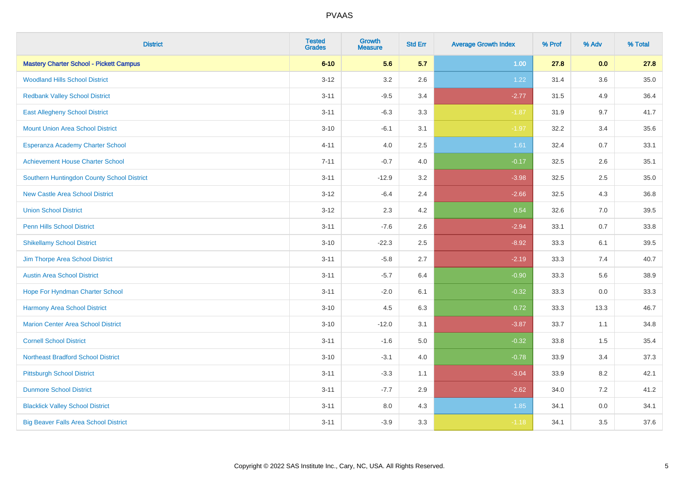| <b>District</b>                                | <b>Tested</b><br><b>Grades</b> | Growth<br><b>Measure</b> | <b>Std Err</b> | <b>Average Growth Index</b> | % Prof | % Adv | % Total |
|------------------------------------------------|--------------------------------|--------------------------|----------------|-----------------------------|--------|-------|---------|
| <b>Mastery Charter School - Pickett Campus</b> | $6 - 10$                       | 5.6                      | 5.7            | 1.00                        | 27.8   | 0.0   | 27.8    |
| <b>Woodland Hills School District</b>          | $3 - 12$                       | 3.2                      | 2.6            | 1.22                        | 31.4   | 3.6   | 35.0    |
| <b>Redbank Valley School District</b>          | $3 - 11$                       | $-9.5$                   | 3.4            | $-2.77$                     | 31.5   | 4.9   | 36.4    |
| <b>East Allegheny School District</b>          | $3 - 11$                       | $-6.3$                   | 3.3            | $-1.87$                     | 31.9   | 9.7   | 41.7    |
| <b>Mount Union Area School District</b>        | $3 - 10$                       | $-6.1$                   | 3.1            | $-1.97$                     | 32.2   | 3.4   | 35.6    |
| Esperanza Academy Charter School               | $4 - 11$                       | 4.0                      | 2.5            | 1.61                        | 32.4   | 0.7   | 33.1    |
| <b>Achievement House Charter School</b>        | $7 - 11$                       | $-0.7$                   | 4.0            | $-0.17$                     | 32.5   | 2.6   | 35.1    |
| Southern Huntingdon County School District     | $3 - 11$                       | $-12.9$                  | 3.2            | $-3.98$                     | 32.5   | 2.5   | 35.0    |
| <b>New Castle Area School District</b>         | $3 - 12$                       | $-6.4$                   | 2.4            | $-2.66$                     | 32.5   | 4.3   | 36.8    |
| <b>Union School District</b>                   | $3 - 12$                       | 2.3                      | 4.2            | 0.54                        | 32.6   | 7.0   | 39.5    |
| Penn Hills School District                     | $3 - 11$                       | $-7.6$                   | 2.6            | $-2.94$                     | 33.1   | 0.7   | 33.8    |
| <b>Shikellamy School District</b>              | $3 - 10$                       | $-22.3$                  | 2.5            | $-8.92$                     | 33.3   | 6.1   | 39.5    |
| Jim Thorpe Area School District                | $3 - 11$                       | $-5.8$                   | 2.7            | $-2.19$                     | 33.3   | 7.4   | 40.7    |
| <b>Austin Area School District</b>             | $3 - 11$                       | $-5.7$                   | 6.4            | $-0.90$                     | 33.3   | 5.6   | 38.9    |
| Hope For Hyndman Charter School                | $3 - 11$                       | $-2.0$                   | 6.1            | $-0.32$                     | 33.3   | 0.0   | 33.3    |
| Harmony Area School District                   | $3 - 10$                       | 4.5                      | 6.3            | 0.72                        | 33.3   | 13.3  | 46.7    |
| <b>Marion Center Area School District</b>      | $3 - 10$                       | $-12.0$                  | 3.1            | $-3.87$                     | 33.7   | 1.1   | 34.8    |
| <b>Cornell School District</b>                 | $3 - 11$                       | $-1.6$                   | 5.0            | $-0.32$                     | 33.8   | 1.5   | 35.4    |
| <b>Northeast Bradford School District</b>      | $3 - 10$                       | $-3.1$                   | $4.0\,$        | $-0.78$                     | 33.9   | 3.4   | 37.3    |
| <b>Pittsburgh School District</b>              | $3 - 11$                       | $-3.3$                   | 1.1            | $-3.04$                     | 33.9   | 8.2   | 42.1    |
| <b>Dunmore School District</b>                 | $3 - 11$                       | $-7.7$                   | 2.9            | $-2.62$                     | 34.0   | 7.2   | 41.2    |
| <b>Blacklick Valley School District</b>        | $3 - 11$                       | 8.0                      | 4.3            | 1.85                        | 34.1   | 0.0   | 34.1    |
| <b>Big Beaver Falls Area School District</b>   | $3 - 11$                       | $-3.9$                   | 3.3            | $-1.18$                     | 34.1   | 3.5   | 37.6    |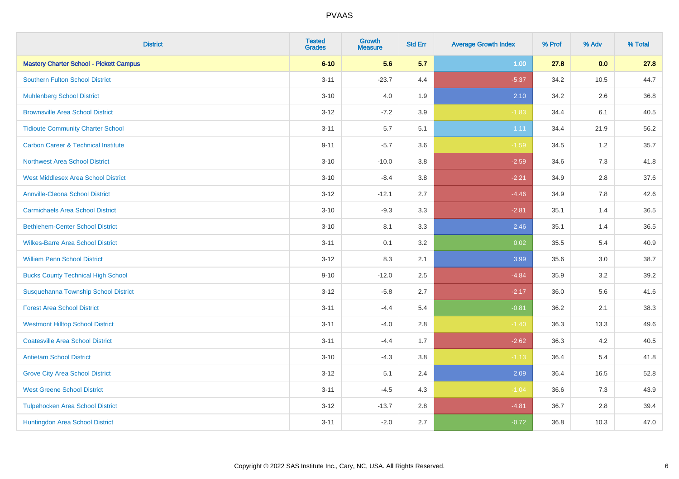| <b>District</b>                                | <b>Tested</b><br><b>Grades</b> | <b>Growth</b><br><b>Measure</b> | <b>Std Err</b> | <b>Average Growth Index</b> | % Prof | % Adv | % Total |
|------------------------------------------------|--------------------------------|---------------------------------|----------------|-----------------------------|--------|-------|---------|
| <b>Mastery Charter School - Pickett Campus</b> | $6 - 10$                       | 5.6                             | 5.7            | 1.00                        | 27.8   | 0.0   | 27.8    |
| <b>Southern Fulton School District</b>         | $3 - 11$                       | $-23.7$                         | 4.4            | $-5.37$                     | 34.2   | 10.5  | 44.7    |
| <b>Muhlenberg School District</b>              | $3 - 10$                       | 4.0                             | 1.9            | 2.10                        | 34.2   | 2.6   | 36.8    |
| <b>Brownsville Area School District</b>        | $3 - 12$                       | $-7.2$                          | 3.9            | $-1.83$                     | 34.4   | 6.1   | 40.5    |
| <b>Tidioute Community Charter School</b>       | $3 - 11$                       | 5.7                             | 5.1            | 1.11                        | 34.4   | 21.9  | 56.2    |
| <b>Carbon Career &amp; Technical Institute</b> | $9 - 11$                       | $-5.7$                          | 3.6            | $-1.59$                     | 34.5   | 1.2   | 35.7    |
| <b>Northwest Area School District</b>          | $3 - 10$                       | $-10.0$                         | 3.8            | $-2.59$                     | 34.6   | 7.3   | 41.8    |
| <b>West Middlesex Area School District</b>     | $3 - 10$                       | $-8.4$                          | 3.8            | $-2.21$                     | 34.9   | 2.8   | 37.6    |
| <b>Annville-Cleona School District</b>         | $3 - 12$                       | $-12.1$                         | 2.7            | $-4.46$                     | 34.9   | 7.8   | 42.6    |
| <b>Carmichaels Area School District</b>        | $3 - 10$                       | $-9.3$                          | 3.3            | $-2.81$                     | 35.1   | 1.4   | 36.5    |
| <b>Bethlehem-Center School District</b>        | $3 - 10$                       | 8.1                             | 3.3            | 2.46                        | 35.1   | 1.4   | 36.5    |
| <b>Wilkes-Barre Area School District</b>       | $3 - 11$                       | 0.1                             | 3.2            | 0.02                        | 35.5   | 5.4   | 40.9    |
| <b>William Penn School District</b>            | $3 - 12$                       | 8.3                             | 2.1            | 3.99                        | 35.6   | 3.0   | 38.7    |
| <b>Bucks County Technical High School</b>      | $9 - 10$                       | $-12.0$                         | 2.5            | $-4.84$                     | 35.9   | 3.2   | 39.2    |
| Susquehanna Township School District           | $3 - 12$                       | $-5.8$                          | 2.7            | $-2.17$                     | 36.0   | 5.6   | 41.6    |
| <b>Forest Area School District</b>             | $3 - 11$                       | $-4.4$                          | 5.4            | $-0.81$                     | 36.2   | 2.1   | 38.3    |
| <b>Westmont Hilltop School District</b>        | $3 - 11$                       | $-4.0$                          | 2.8            | $-1.40$                     | 36.3   | 13.3  | 49.6    |
| <b>Coatesville Area School District</b>        | $3 - 11$                       | $-4.4$                          | 1.7            | $-2.62$                     | 36.3   | 4.2   | 40.5    |
| <b>Antietam School District</b>                | $3 - 10$                       | $-4.3$                          | 3.8            | $-1.13$                     | 36.4   | 5.4   | 41.8    |
| <b>Grove City Area School District</b>         | $3-12$                         | 5.1                             | 2.4            | 2.09                        | 36.4   | 16.5  | 52.8    |
| <b>West Greene School District</b>             | $3 - 11$                       | $-4.5$                          | 4.3            | $-1.04$                     | 36.6   | 7.3   | 43.9    |
| <b>Tulpehocken Area School District</b>        | $3 - 12$                       | $-13.7$                         | 2.8            | $-4.81$                     | 36.7   | 2.8   | 39.4    |
| Huntingdon Area School District                | $3 - 11$                       | $-2.0$                          | 2.7            | $-0.72$                     | 36.8   | 10.3  | 47.0    |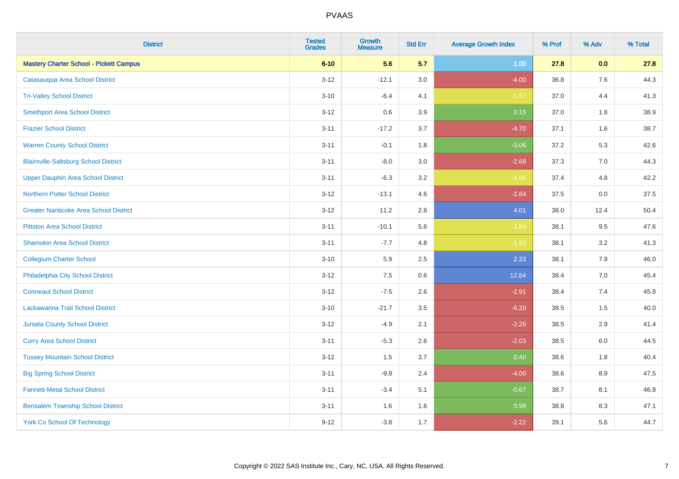| <b>District</b>                                | <b>Tested</b><br><b>Grades</b> | Growth<br><b>Measure</b> | <b>Std Err</b> | <b>Average Growth Index</b> | % Prof | % Adv   | % Total |
|------------------------------------------------|--------------------------------|--------------------------|----------------|-----------------------------|--------|---------|---------|
| <b>Mastery Charter School - Pickett Campus</b> | $6 - 10$                       | 5.6                      | 5.7            | 1.00                        | 27.8   | 0.0     | 27.8    |
| Catasauqua Area School District                | $3 - 12$                       | $-12.1$                  | 3.0            | $-4.00$                     | 36.8   | $7.6\,$ | 44.3    |
| <b>Tri-Valley School District</b>              | $3 - 10$                       | $-6.4$                   | 4.1            | $-1.57$                     | 37.0   | 4.4     | 41.3    |
| <b>Smethport Area School District</b>          | $3 - 12$                       | 0.6                      | 3.9            | 0.15                        | 37.0   | 1.8     | 38.9    |
| <b>Frazier School District</b>                 | $3 - 11$                       | $-17.2$                  | 3.7            | $-4.70$                     | 37.1   | 1.6     | 38.7    |
| <b>Warren County School District</b>           | $3 - 11$                       | $-0.1$                   | 1.8            | $-0.06$                     | 37.2   | 5.3     | 42.6    |
| <b>Blairsville-Saltsburg School District</b>   | $3 - 11$                       | $-8.0$                   | 3.0            | $-2.68$                     | 37.3   | 7.0     | 44.3    |
| <b>Upper Dauphin Area School District</b>      | $3 - 11$                       | $-6.3$                   | 3.2            | $-1.98$                     | 37.4   | 4.8     | 42.2    |
| Northern Potter School District                | $3 - 12$                       | $-13.1$                  | 4.6            | $-2.84$                     | 37.5   | 0.0     | 37.5    |
| <b>Greater Nanticoke Area School District</b>  | $3 - 12$                       | 11.2                     | 2.8            | 4.01                        | 38.0   | 12.4    | 50.4    |
| <b>Pittston Area School District</b>           | $3 - 11$                       | $-10.1$                  | 5.6            | $-1.80$                     | 38.1   | 9.5     | 47.6    |
| <b>Shamokin Area School District</b>           | $3 - 11$                       | $-7.7$                   | 4.8            | $-1.60$                     | 38.1   | 3.2     | 41.3    |
| <b>Collegium Charter School</b>                | $3 - 10$                       | 5.9                      | 2.5            | 2.33                        | 38.1   | 7.9     | 46.0    |
| Philadelphia City School District              | $3 - 12$                       | 7.5                      | 0.6            | 12.64                       | 38.4   | 7.0     | 45.4    |
| <b>Conneaut School District</b>                | $3 - 12$                       | $-7.5$                   | 2.6            | $-2.91$                     | 38.4   | 7.4     | 45.8    |
| Lackawanna Trail School District               | $3 - 10$                       | $-21.7$                  | 3.5            | $-6.20$                     | 38.5   | 1.5     | 40.0    |
| Juniata County School District                 | $3 - 12$                       | $-4.9$                   | 2.1            | $-2.26$                     | 38.5   | 2.9     | 41.4    |
| <b>Corry Area School District</b>              | $3 - 11$                       | $-5.3$                   | 2.6            | $-2.03$                     | 38.5   | 6.0     | 44.5    |
| <b>Tussey Mountain School District</b>         | $3 - 12$                       | 1.5                      | 3.7            | 0.40                        | 38.6   | 1.8     | 40.4    |
| <b>Big Spring School District</b>              | $3 - 11$                       | $-9.8$                   | 2.4            | $-4.00$                     | 38.6   | 8.9     | 47.5    |
| <b>Fannett-Metal School District</b>           | $3 - 11$                       | $-3.4$                   | 5.1            | $-0.67$                     | 38.7   | 8.1     | 46.8    |
| <b>Bensalem Township School District</b>       | $3 - 11$                       | 1.6                      | 1.6            | 0.98                        | 38.8   | 8.3     | 47.1    |
| <b>York Co School Of Technology</b>            | $9 - 12$                       | $-3.8$                   | 1.7            | $-2.22$                     | 39.1   | 5.6     | 44.7    |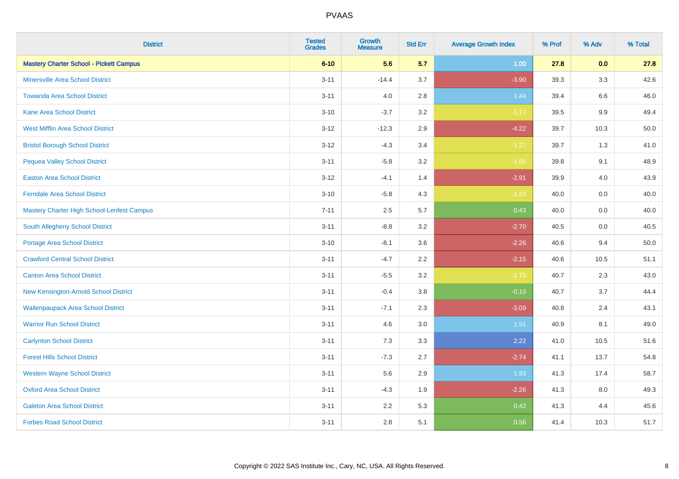| <b>District</b>                                | <b>Tested</b><br><b>Grades</b> | Growth<br><b>Measure</b> | <b>Std Err</b> | <b>Average Growth Index</b> | % Prof | % Adv | % Total |
|------------------------------------------------|--------------------------------|--------------------------|----------------|-----------------------------|--------|-------|---------|
| <b>Mastery Charter School - Pickett Campus</b> | $6 - 10$                       | 5.6                      | 5.7            | 1.00                        | 27.8   | 0.0   | 27.8    |
| <b>Minersville Area School District</b>        | $3 - 11$                       | $-14.4$                  | 3.7            | $-3.90$                     | 39.3   | 3.3   | 42.6    |
| <b>Towanda Area School District</b>            | $3 - 11$                       | 4.0                      | 2.8            | 1.44                        | 39.4   | 6.6   | 46.0    |
| <b>Kane Area School District</b>               | $3 - 10$                       | $-3.7$                   | 3.2            | $-1.17$                     | 39.5   | 9.9   | 49.4    |
| <b>West Mifflin Area School District</b>       | $3 - 12$                       | $-12.3$                  | 2.9            | $-4.22$                     | 39.7   | 10.3  | 50.0    |
| <b>Bristol Borough School District</b>         | $3 - 12$                       | $-4.3$                   | 3.4            | $-1.27$                     | 39.7   | 1.3   | 41.0    |
| <b>Pequea Valley School District</b>           | $3 - 11$                       | $-5.8$                   | 3.2            | $-1.80$                     | 39.8   | 9.1   | 48.9    |
| <b>Easton Area School District</b>             | $3 - 12$                       | $-4.1$                   | 1.4            | $-2.91$                     | 39.9   | 4.0   | 43.9    |
| <b>Ferndale Area School District</b>           | $3 - 10$                       | $-5.8$                   | 4.3            | $-1.33$                     | 40.0   | 0.0   | 40.0    |
| Mastery Charter High School-Lenfest Campus     | $7 - 11$                       | 2.5                      | 5.7            | 0.43                        | 40.0   | 0.0   | 40.0    |
| <b>South Allegheny School District</b>         | $3 - 11$                       | $-8.8$                   | 3.2            | $-2.70$                     | 40.5   | 0.0   | 40.5    |
| <b>Portage Area School District</b>            | $3 - 10$                       | $-8.1$                   | 3.6            | $-2.26$                     | 40.6   | 9.4   | 50.0    |
| <b>Crawford Central School District</b>        | $3 - 11$                       | $-4.7$                   | 2.2            | $-2.15$                     | 40.6   | 10.5  | 51.1    |
| <b>Canton Area School District</b>             | $3 - 11$                       | $-5.5$                   | 3.2            | $-1.75$                     | 40.7   | 2.3   | 43.0    |
| New Kensington-Arnold School District          | $3 - 11$                       | $-0.4$                   | 3.8            | $-0.10$                     | 40.7   | 3.7   | 44.4    |
| <b>Wallenpaupack Area School District</b>      | $3 - 11$                       | $-7.1$                   | 2.3            | $-3.09$                     | 40.8   | 2.4   | 43.1    |
| <b>Warrior Run School District</b>             | $3 - 11$                       | 4.6                      | 3.0            | 1.51                        | 40.9   | 8.1   | 49.0    |
| <b>Carlynton School District</b>               | $3 - 11$                       | 7.3                      | 3.3            | 2.22                        | 41.0   | 10.5  | 51.6    |
| <b>Forest Hills School District</b>            | $3 - 11$                       | $-7.3$                   | 2.7            | $-2.74$                     | 41.1   | 13.7  | 54.8    |
| <b>Western Wayne School District</b>           | $3 - 11$                       | 5.6                      | 2.9            | 1.93                        | 41.3   | 17.4  | 58.7    |
| <b>Oxford Area School District</b>             | $3 - 11$                       | $-4.3$                   | 1.9            | $-2.26$                     | 41.3   | 8.0   | 49.3    |
| <b>Galeton Area School District</b>            | $3 - 11$                       | 2.2                      | 5.3            | 0.42                        | 41.3   | 4.4   | 45.6    |
| <b>Forbes Road School District</b>             | $3 - 11$                       | 2.8                      | 5.1            | 0.56                        | 41.4   | 10.3  | 51.7    |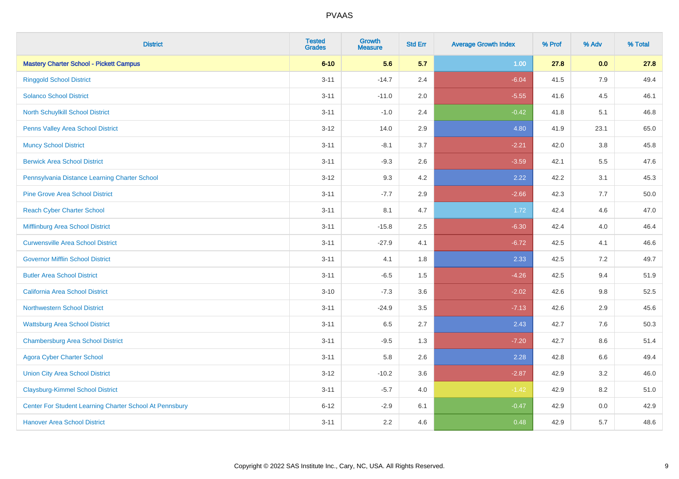| <b>District</b>                                         | <b>Tested</b><br><b>Grades</b> | <b>Growth</b><br><b>Measure</b> | <b>Std Err</b> | <b>Average Growth Index</b> | % Prof | % Adv   | % Total |
|---------------------------------------------------------|--------------------------------|---------------------------------|----------------|-----------------------------|--------|---------|---------|
| <b>Mastery Charter School - Pickett Campus</b>          | $6 - 10$                       | 5.6                             | 5.7            | 1.00                        | 27.8   | 0.0     | 27.8    |
| <b>Ringgold School District</b>                         | $3 - 11$                       | $-14.7$                         | 2.4            | $-6.04$                     | 41.5   | 7.9     | 49.4    |
| <b>Solanco School District</b>                          | $3 - 11$                       | $-11.0$                         | 2.0            | $-5.55$                     | 41.6   | 4.5     | 46.1    |
| North Schuylkill School District                        | $3 - 11$                       | $-1.0$                          | 2.4            | $-0.42$                     | 41.8   | 5.1     | 46.8    |
| <b>Penns Valley Area School District</b>                | $3 - 12$                       | 14.0                            | 2.9            | 4.80                        | 41.9   | 23.1    | 65.0    |
| <b>Muncy School District</b>                            | $3 - 11$                       | $-8.1$                          | 3.7            | $-2.21$                     | 42.0   | $3.8\,$ | 45.8    |
| <b>Berwick Area School District</b>                     | $3 - 11$                       | $-9.3$                          | 2.6            | $-3.59$                     | 42.1   | 5.5     | 47.6    |
| Pennsylvania Distance Learning Charter School           | $3 - 12$                       | 9.3                             | 4.2            | 2.22                        | 42.2   | 3.1     | 45.3    |
| <b>Pine Grove Area School District</b>                  | $3 - 11$                       | $-7.7$                          | 2.9            | $-2.66$                     | 42.3   | 7.7     | 50.0    |
| <b>Reach Cyber Charter School</b>                       | $3 - 11$                       | 8.1                             | 4.7            | 1.72                        | 42.4   | 4.6     | 47.0    |
| Mifflinburg Area School District                        | $3 - 11$                       | $-15.8$                         | 2.5            | $-6.30$                     | 42.4   | 4.0     | 46.4    |
| <b>Curwensville Area School District</b>                | $3 - 11$                       | $-27.9$                         | 4.1            | $-6.72$                     | 42.5   | 4.1     | 46.6    |
| <b>Governor Mifflin School District</b>                 | $3 - 11$                       | 4.1                             | 1.8            | 2.33                        | 42.5   | 7.2     | 49.7    |
| <b>Butler Area School District</b>                      | $3 - 11$                       | $-6.5$                          | 1.5            | $-4.26$                     | 42.5   | 9.4     | 51.9    |
| California Area School District                         | $3 - 10$                       | $-7.3$                          | 3.6            | $-2.02$                     | 42.6   | 9.8     | 52.5    |
| <b>Northwestern School District</b>                     | $3 - 11$                       | $-24.9$                         | 3.5            | $-7.13$                     | 42.6   | 2.9     | 45.6    |
| <b>Wattsburg Area School District</b>                   | $3 - 11$                       | 6.5                             | 2.7            | 2.43                        | 42.7   | 7.6     | 50.3    |
| <b>Chambersburg Area School District</b>                | $3 - 11$                       | $-9.5$                          | 1.3            | $-7.20$                     | 42.7   | 8.6     | 51.4    |
| <b>Agora Cyber Charter School</b>                       | $3 - 11$                       | 5.8                             | 2.6            | 2.28                        | 42.8   | 6.6     | 49.4    |
| <b>Union City Area School District</b>                  | $3 - 12$                       | $-10.2$                         | 3.6            | $-2.87$                     | 42.9   | 3.2     | 46.0    |
| <b>Claysburg-Kimmel School District</b>                 | $3 - 11$                       | $-5.7$                          | 4.0            | $-1.42$                     | 42.9   | 8.2     | 51.0    |
| Center For Student Learning Charter School At Pennsbury | $6 - 12$                       | $-2.9$                          | 6.1            | $-0.47$                     | 42.9   | 0.0     | 42.9    |
| <b>Hanover Area School District</b>                     | $3 - 11$                       | 2.2                             | 4.6            | 0.48                        | 42.9   | 5.7     | 48.6    |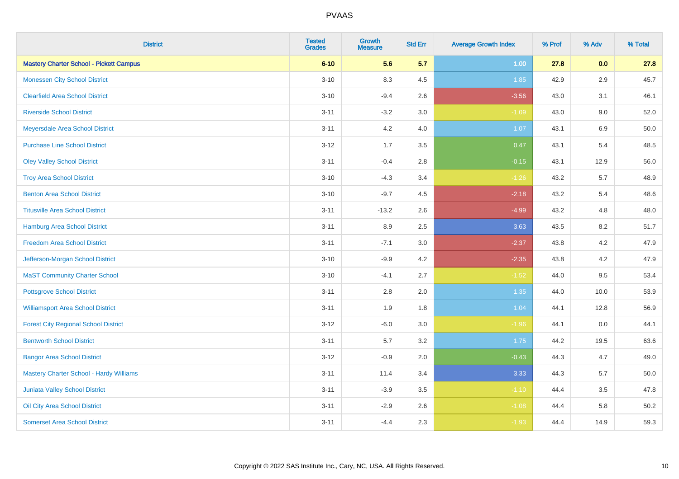| <b>District</b>                                | <b>Tested</b><br><b>Grades</b> | Growth<br><b>Measure</b> | <b>Std Err</b> | <b>Average Growth Index</b> | % Prof | % Adv   | % Total |
|------------------------------------------------|--------------------------------|--------------------------|----------------|-----------------------------|--------|---------|---------|
| <b>Mastery Charter School - Pickett Campus</b> | $6 - 10$                       | 5.6                      | 5.7            | 1.00                        | 27.8   | 0.0     | 27.8    |
| <b>Monessen City School District</b>           | $3 - 10$                       | 8.3                      | 4.5            | 1.85                        | 42.9   | 2.9     | 45.7    |
| <b>Clearfield Area School District</b>         | $3 - 10$                       | $-9.4$                   | 2.6            | $-3.56$                     | 43.0   | 3.1     | 46.1    |
| <b>Riverside School District</b>               | $3 - 11$                       | $-3.2$                   | 3.0            | $-1.09$                     | 43.0   | 9.0     | 52.0    |
| Meyersdale Area School District                | $3 - 11$                       | 4.2                      | 4.0            | 1.07                        | 43.1   | 6.9     | 50.0    |
| <b>Purchase Line School District</b>           | $3 - 12$                       | 1.7                      | 3.5            | 0.47                        | 43.1   | 5.4     | 48.5    |
| <b>Oley Valley School District</b>             | $3 - 11$                       | $-0.4$                   | 2.8            | $-0.15$                     | 43.1   | 12.9    | 56.0    |
| <b>Troy Area School District</b>               | $3 - 10$                       | $-4.3$                   | 3.4            | $-1.26$                     | 43.2   | 5.7     | 48.9    |
| <b>Benton Area School District</b>             | $3 - 10$                       | $-9.7$                   | 4.5            | $-2.18$                     | 43.2   | 5.4     | 48.6    |
| <b>Titusville Area School District</b>         | $3 - 11$                       | $-13.2$                  | 2.6            | $-4.99$                     | 43.2   | 4.8     | 48.0    |
| Hamburg Area School District                   | $3 - 11$                       | 8.9                      | 2.5            | 3.63                        | 43.5   | 8.2     | 51.7    |
| <b>Freedom Area School District</b>            | $3 - 11$                       | $-7.1$                   | 3.0            | $-2.37$                     | 43.8   | 4.2     | 47.9    |
| Jefferson-Morgan School District               | $3 - 10$                       | $-9.9$                   | 4.2            | $-2.35$                     | 43.8   | $4.2\,$ | 47.9    |
| <b>MaST Community Charter School</b>           | $3 - 10$                       | $-4.1$                   | 2.7            | $-1.52$                     | 44.0   | 9.5     | 53.4    |
| <b>Pottsgrove School District</b>              | $3 - 11$                       | 2.8                      | 2.0            | 1.35                        | 44.0   | 10.0    | 53.9    |
| <b>Williamsport Area School District</b>       | $3 - 11$                       | 1.9                      | 1.8            | 1.04                        | 44.1   | 12.8    | 56.9    |
| <b>Forest City Regional School District</b>    | $3 - 12$                       | $-6.0$                   | 3.0            | $-1.96$                     | 44.1   | 0.0     | 44.1    |
| <b>Bentworth School District</b>               | $3 - 11$                       | 5.7                      | 3.2            | 1.75                        | 44.2   | 19.5    | 63.6    |
| <b>Bangor Area School District</b>             | $3 - 12$                       | $-0.9$                   | 2.0            | $-0.43$                     | 44.3   | 4.7     | 49.0    |
| <b>Mastery Charter School - Hardy Williams</b> | $3 - 11$                       | 11.4                     | 3.4            | 3.33                        | 44.3   | 5.7     | 50.0    |
| Juniata Valley School District                 | $3 - 11$                       | $-3.9$                   | 3.5            | $-1.10$                     | 44.4   | 3.5     | 47.8    |
| Oil City Area School District                  | $3 - 11$                       | $-2.9$                   | 2.6            | $-1.08$                     | 44.4   | 5.8     | 50.2    |
| <b>Somerset Area School District</b>           | $3 - 11$                       | $-4.4$                   | 2.3            | $-1.93$                     | 44.4   | 14.9    | 59.3    |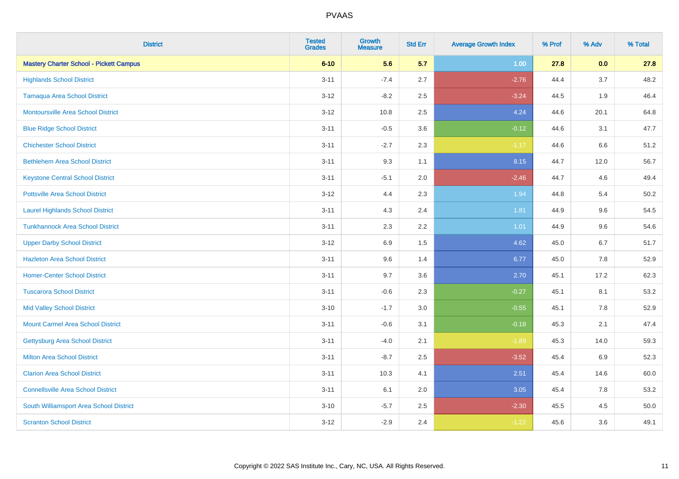| <b>District</b>                                | <b>Tested</b><br><b>Grades</b> | <b>Growth</b><br><b>Measure</b> | <b>Std Err</b> | <b>Average Growth Index</b> | % Prof | % Adv | % Total |
|------------------------------------------------|--------------------------------|---------------------------------|----------------|-----------------------------|--------|-------|---------|
| <b>Mastery Charter School - Pickett Campus</b> | $6 - 10$                       | 5.6                             | 5.7            | 1.00                        | 27.8   | 0.0   | 27.8    |
| <b>Highlands School District</b>               | $3 - 11$                       | $-7.4$                          | 2.7            | $-2.76$                     | 44.4   | 3.7   | 48.2    |
| <b>Tamaqua Area School District</b>            | $3 - 12$                       | $-8.2$                          | 2.5            | $-3.24$                     | 44.5   | 1.9   | 46.4    |
| <b>Montoursville Area School District</b>      | $3 - 12$                       | 10.8                            | 2.5            | 4.24                        | 44.6   | 20.1  | 64.8    |
| <b>Blue Ridge School District</b>              | $3 - 11$                       | $-0.5$                          | 3.6            | $-0.12$                     | 44.6   | 3.1   | 47.7    |
| <b>Chichester School District</b>              | $3 - 11$                       | $-2.7$                          | 2.3            | $-1.17$                     | 44.6   | 6.6   | 51.2    |
| <b>Bethlehem Area School District</b>          | $3 - 11$                       | 9.3                             | 1.1            | 8.15                        | 44.7   | 12.0  | 56.7    |
| <b>Keystone Central School District</b>        | $3 - 11$                       | $-5.1$                          | 2.0            | $-2.46$                     | 44.7   | 4.6   | 49.4    |
| <b>Pottsville Area School District</b>         | $3 - 12$                       | 4.4                             | 2.3            | 1.94                        | 44.8   | 5.4   | 50.2    |
| <b>Laurel Highlands School District</b>        | $3 - 11$                       | 4.3                             | 2.4            | 1.81                        | 44.9   | 9.6   | 54.5    |
| <b>Tunkhannock Area School District</b>        | $3 - 11$                       | 2.3                             | 2.2            | 1.01                        | 44.9   | 9.6   | 54.6    |
| <b>Upper Darby School District</b>             | $3 - 12$                       | 6.9                             | 1.5            | 4.62                        | 45.0   | 6.7   | 51.7    |
| <b>Hazleton Area School District</b>           | $3 - 11$                       | 9.6                             | 1.4            | 6.77                        | 45.0   | 7.8   | 52.9    |
| <b>Homer-Center School District</b>            | $3 - 11$                       | 9.7                             | 3.6            | 2.70                        | 45.1   | 17.2  | 62.3    |
| <b>Tuscarora School District</b>               | $3 - 11$                       | $-0.6$                          | 2.3            | $-0.27$                     | 45.1   | 8.1   | 53.2    |
| <b>Mid Valley School District</b>              | $3 - 10$                       | $-1.7$                          | 3.0            | $-0.55$                     | 45.1   | 7.8   | 52.9    |
| <b>Mount Carmel Area School District</b>       | $3 - 11$                       | $-0.6$                          | 3.1            | $-0.18$                     | 45.3   | 2.1   | 47.4    |
| Gettysburg Area School District                | $3 - 11$                       | $-4.0$                          | 2.1            | $-1.89$                     | 45.3   | 14.0  | 59.3    |
| <b>Milton Area School District</b>             | $3 - 11$                       | $-8.7$                          | 2.5            | $-3.52$                     | 45.4   | 6.9   | 52.3    |
| <b>Clarion Area School District</b>            | $3 - 11$                       | 10.3                            | 4.1            | 2.51                        | 45.4   | 14.6  | 60.0    |
| <b>Connellsville Area School District</b>      | $3 - 11$                       | 6.1                             | 2.0            | 3.05                        | 45.4   | 7.8   | 53.2    |
| South Williamsport Area School District        | $3 - 10$                       | $-5.7$                          | 2.5            | $-2.30$                     | 45.5   | 4.5   | 50.0    |
| <b>Scranton School District</b>                | $3 - 12$                       | $-2.9$                          | 2.4            | $-1.22$                     | 45.6   | 3.6   | 49.1    |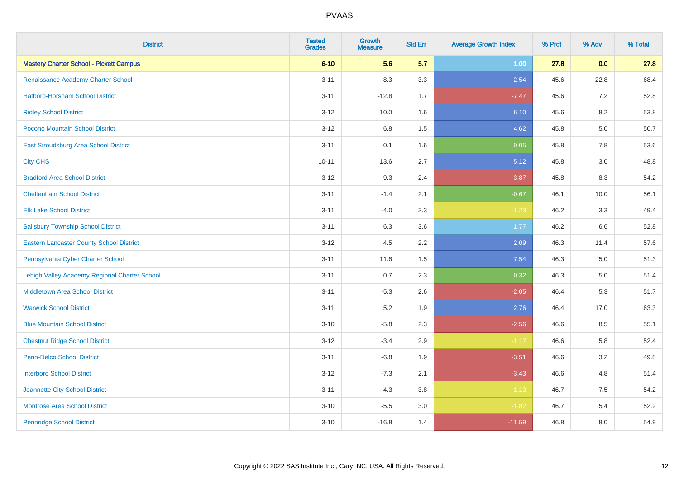| <b>District</b>                                 | <b>Tested</b><br><b>Grades</b> | Growth<br><b>Measure</b> | <b>Std Err</b> | <b>Average Growth Index</b> | % Prof | % Adv   | % Total |
|-------------------------------------------------|--------------------------------|--------------------------|----------------|-----------------------------|--------|---------|---------|
| <b>Mastery Charter School - Pickett Campus</b>  | $6 - 10$                       | 5.6                      | 5.7            | 1.00                        | 27.8   | 0.0     | 27.8    |
| Renaissance Academy Charter School              | $3 - 11$                       | 8.3                      | 3.3            | 2.54                        | 45.6   | 22.8    | 68.4    |
| Hatboro-Horsham School District                 | $3 - 11$                       | $-12.8$                  | 1.7            | $-7.47$                     | 45.6   | 7.2     | 52.8    |
| <b>Ridley School District</b>                   | $3 - 12$                       | 10.0                     | 1.6            | 6.10                        | 45.6   | 8.2     | 53.8    |
| Pocono Mountain School District                 | $3 - 12$                       | 6.8                      | 1.5            | 4.62                        | 45.8   | 5.0     | 50.7    |
| <b>East Stroudsburg Area School District</b>    | $3 - 11$                       | 0.1                      | 1.6            | 0.05                        | 45.8   | $7.8\,$ | 53.6    |
| <b>City CHS</b>                                 | $10 - 11$                      | 13.6                     | 2.7            | 5.12                        | 45.8   | 3.0     | 48.8    |
| <b>Bradford Area School District</b>            | $3 - 12$                       | $-9.3$                   | 2.4            | $-3.87$                     | 45.8   | 8.3     | 54.2    |
| <b>Cheltenham School District</b>               | $3 - 11$                       | $-1.4$                   | 2.1            | $-0.67$                     | 46.1   | 10.0    | 56.1    |
| <b>Elk Lake School District</b>                 | $3 - 11$                       | $-4.0$                   | 3.3            | $-1.23$                     | 46.2   | 3.3     | 49.4    |
| <b>Salisbury Township School District</b>       | $3 - 11$                       | 6.3                      | 3.6            | 1.77                        | 46.2   | 6.6     | 52.8    |
| <b>Eastern Lancaster County School District</b> | $3 - 12$                       | 4.5                      | 2.2            | 2.09                        | 46.3   | 11.4    | 57.6    |
| Pennsylvania Cyber Charter School               | $3 - 11$                       | 11.6                     | 1.5            | 7.54                        | 46.3   | 5.0     | 51.3    |
| Lehigh Valley Academy Regional Charter School   | $3 - 11$                       | 0.7                      | 2.3            | 0.32                        | 46.3   | 5.0     | 51.4    |
| <b>Middletown Area School District</b>          | $3 - 11$                       | $-5.3$                   | 2.6            | $-2.05$                     | 46.4   | 5.3     | 51.7    |
| <b>Warwick School District</b>                  | $3 - 11$                       | 5.2                      | 1.9            | 2.76                        | 46.4   | 17.0    | 63.3    |
| <b>Blue Mountain School District</b>            | $3 - 10$                       | $-5.8$                   | 2.3            | $-2.56$                     | 46.6   | 8.5     | 55.1    |
| <b>Chestnut Ridge School District</b>           | $3 - 12$                       | $-3.4$                   | 2.9            | $-1.17$                     | 46.6   | 5.8     | 52.4    |
| Penn-Delco School District                      | $3 - 11$                       | $-6.8$                   | 1.9            | $-3.51$                     | 46.6   | 3.2     | 49.8    |
| <b>Interboro School District</b>                | $3 - 12$                       | $-7.3$                   | 2.1            | $-3.43$                     | 46.6   | 4.8     | 51.4    |
| Jeannette City School District                  | $3 - 11$                       | $-4.3$                   | 3.8            | $-1.13$                     | 46.7   | 7.5     | 54.2    |
| <b>Montrose Area School District</b>            | $3 - 10$                       | $-5.5$                   | 3.0            | $-1.82$                     | 46.7   | 5.4     | 52.2    |
| <b>Pennridge School District</b>                | $3 - 10$                       | $-16.8$                  | 1.4            | $-11.59$                    | 46.8   | 8.0     | 54.9    |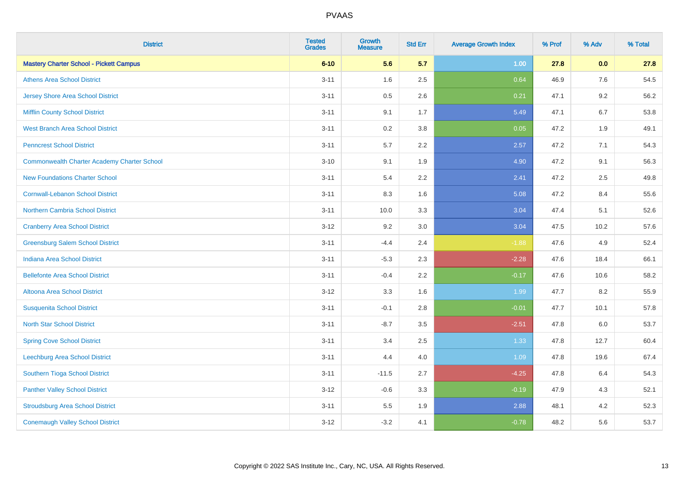| <b>District</b>                                    | <b>Tested</b><br><b>Grades</b> | Growth<br><b>Measure</b> | <b>Std Err</b> | <b>Average Growth Index</b> | % Prof | % Adv   | % Total |
|----------------------------------------------------|--------------------------------|--------------------------|----------------|-----------------------------|--------|---------|---------|
| <b>Mastery Charter School - Pickett Campus</b>     | $6 - 10$                       | 5.6                      | 5.7            | 1.00                        | 27.8   | 0.0     | 27.8    |
| <b>Athens Area School District</b>                 | $3 - 11$                       | 1.6                      | 2.5            | 0.64                        | 46.9   | $7.6\,$ | 54.5    |
| <b>Jersey Shore Area School District</b>           | $3 - 11$                       | 0.5                      | 2.6            | 0.21                        | 47.1   | 9.2     | 56.2    |
| <b>Mifflin County School District</b>              | $3 - 11$                       | 9.1                      | 1.7            | 5.49                        | 47.1   | 6.7     | 53.8    |
| <b>West Branch Area School District</b>            | $3 - 11$                       | 0.2                      | 3.8            | 0.05                        | 47.2   | 1.9     | 49.1    |
| <b>Penncrest School District</b>                   | $3 - 11$                       | 5.7                      | 2.2            | 2.57                        | 47.2   | 7.1     | 54.3    |
| <b>Commonwealth Charter Academy Charter School</b> | $3 - 10$                       | 9.1                      | 1.9            | 4.90                        | 47.2   | 9.1     | 56.3    |
| <b>New Foundations Charter School</b>              | $3 - 11$                       | 5.4                      | 2.2            | 2.41                        | 47.2   | 2.5     | 49.8    |
| <b>Cornwall-Lebanon School District</b>            | $3 - 11$                       | 8.3                      | 1.6            | 5.08                        | 47.2   | 8.4     | 55.6    |
| <b>Northern Cambria School District</b>            | $3 - 11$                       | 10.0                     | 3.3            | 3.04                        | 47.4   | 5.1     | 52.6    |
| <b>Cranberry Area School District</b>              | $3 - 12$                       | 9.2                      | 3.0            | 3.04                        | 47.5   | 10.2    | 57.6    |
| <b>Greensburg Salem School District</b>            | $3 - 11$                       | $-4.4$                   | 2.4            | $-1.88$                     | 47.6   | 4.9     | 52.4    |
| Indiana Area School District                       | $3 - 11$                       | $-5.3$                   | 2.3            | $-2.28$                     | 47.6   | 18.4    | 66.1    |
| <b>Bellefonte Area School District</b>             | $3 - 11$                       | $-0.4$                   | 2.2            | $-0.17$                     | 47.6   | 10.6    | 58.2    |
| Altoona Area School District                       | $3 - 12$                       | 3.3                      | 1.6            | 1.99                        | 47.7   | 8.2     | 55.9    |
| <b>Susquenita School District</b>                  | $3 - 11$                       | $-0.1$                   | 2.8            | $-0.01$                     | 47.7   | 10.1    | 57.8    |
| <b>North Star School District</b>                  | $3 - 11$                       | $-8.7$                   | 3.5            | $-2.51$                     | 47.8   | 6.0     | 53.7    |
| <b>Spring Cove School District</b>                 | $3 - 11$                       | 3.4                      | 2.5            | 1.33                        | 47.8   | 12.7    | 60.4    |
| <b>Leechburg Area School District</b>              | $3 - 11$                       | 4.4                      | 4.0            | 1.09                        | 47.8   | 19.6    | 67.4    |
| Southern Tioga School District                     | $3 - 11$                       | $-11.5$                  | 2.7            | $-4.25$                     | 47.8   | 6.4     | 54.3    |
| <b>Panther Valley School District</b>              | $3 - 12$                       | $-0.6$                   | 3.3            | $-0.19$                     | 47.9   | 4.3     | 52.1    |
| <b>Stroudsburg Area School District</b>            | $3 - 11$                       | 5.5                      | 1.9            | 2.88                        | 48.1   | 4.2     | 52.3    |
| <b>Conemaugh Valley School District</b>            | $3 - 12$                       | $-3.2$                   | 4.1            | $-0.78$                     | 48.2   | 5.6     | 53.7    |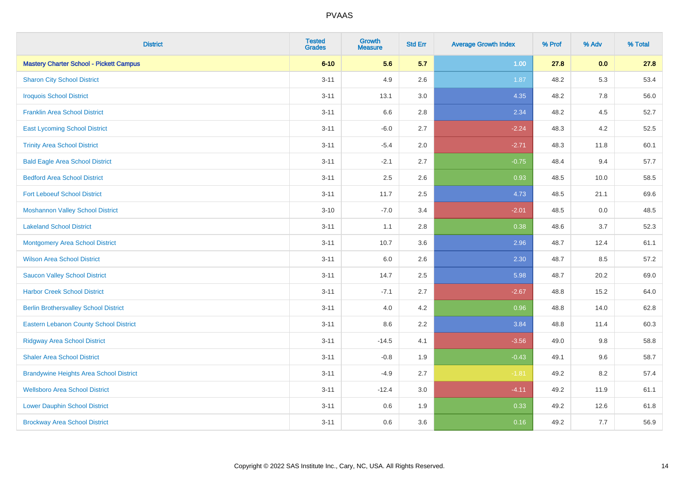| <b>District</b>                                | <b>Tested</b><br><b>Grades</b> | <b>Growth</b><br><b>Measure</b> | <b>Std Err</b> | <b>Average Growth Index</b> | % Prof | % Adv | % Total |
|------------------------------------------------|--------------------------------|---------------------------------|----------------|-----------------------------|--------|-------|---------|
| <b>Mastery Charter School - Pickett Campus</b> | $6 - 10$                       | 5.6                             | 5.7            | 1.00                        | 27.8   | 0.0   | 27.8    |
| <b>Sharon City School District</b>             | $3 - 11$                       | 4.9                             | 2.6            | 1.87                        | 48.2   | 5.3   | 53.4    |
| <b>Iroquois School District</b>                | $3 - 11$                       | 13.1                            | 3.0            | 4.35                        | 48.2   | 7.8   | 56.0    |
| <b>Franklin Area School District</b>           | $3 - 11$                       | 6.6                             | 2.8            | 2.34                        | 48.2   | 4.5   | 52.7    |
| <b>East Lycoming School District</b>           | $3 - 11$                       | $-6.0$                          | 2.7            | $-2.24$                     | 48.3   | 4.2   | 52.5    |
| <b>Trinity Area School District</b>            | $3 - 11$                       | $-5.4$                          | 2.0            | $-2.71$                     | 48.3   | 11.8  | 60.1    |
| <b>Bald Eagle Area School District</b>         | $3 - 11$                       | $-2.1$                          | 2.7            | $-0.75$                     | 48.4   | 9.4   | 57.7    |
| <b>Bedford Area School District</b>            | $3 - 11$                       | 2.5                             | 2.6            | 0.93                        | 48.5   | 10.0  | 58.5    |
| <b>Fort Leboeuf School District</b>            | $3 - 11$                       | 11.7                            | 2.5            | 4.73                        | 48.5   | 21.1  | 69.6    |
| <b>Moshannon Valley School District</b>        | $3 - 10$                       | $-7.0$                          | 3.4            | $-2.01$                     | 48.5   | 0.0   | 48.5    |
| <b>Lakeland School District</b>                | $3 - 11$                       | 1.1                             | 2.8            | 0.38                        | 48.6   | 3.7   | 52.3    |
| <b>Montgomery Area School District</b>         | $3 - 11$                       | 10.7                            | 3.6            | 2.96                        | 48.7   | 12.4  | 61.1    |
| <b>Wilson Area School District</b>             | $3 - 11$                       | 6.0                             | 2.6            | 2.30                        | 48.7   | 8.5   | 57.2    |
| <b>Saucon Valley School District</b>           | $3 - 11$                       | 14.7                            | 2.5            | 5.98                        | 48.7   | 20.2  | 69.0    |
| <b>Harbor Creek School District</b>            | $3 - 11$                       | $-7.1$                          | 2.7            | $-2.67$                     | 48.8   | 15.2  | 64.0    |
| <b>Berlin Brothersvalley School District</b>   | $3 - 11$                       | 4.0                             | 4.2            | 0.96                        | 48.8   | 14.0  | 62.8    |
| <b>Eastern Lebanon County School District</b>  | $3 - 11$                       | 8.6                             | 2.2            | 3.84                        | 48.8   | 11.4  | 60.3    |
| <b>Ridgway Area School District</b>            | $3 - 11$                       | $-14.5$                         | 4.1            | $-3.56$                     | 49.0   | 9.8   | 58.8    |
| <b>Shaler Area School District</b>             | $3 - 11$                       | $-0.8$                          | 1.9            | $-0.43$                     | 49.1   | 9.6   | 58.7    |
| <b>Brandywine Heights Area School District</b> | $3 - 11$                       | $-4.9$                          | 2.7            | $-1.81$                     | 49.2   | 8.2   | 57.4    |
| <b>Wellsboro Area School District</b>          | $3 - 11$                       | $-12.4$                         | 3.0            | $-4.11$                     | 49.2   | 11.9  | 61.1    |
| <b>Lower Dauphin School District</b>           | $3 - 11$                       | 0.6                             | 1.9            | 0.33                        | 49.2   | 12.6  | 61.8    |
| <b>Brockway Area School District</b>           | $3 - 11$                       | 0.6                             | 3.6            | 0.16                        | 49.2   | 7.7   | 56.9    |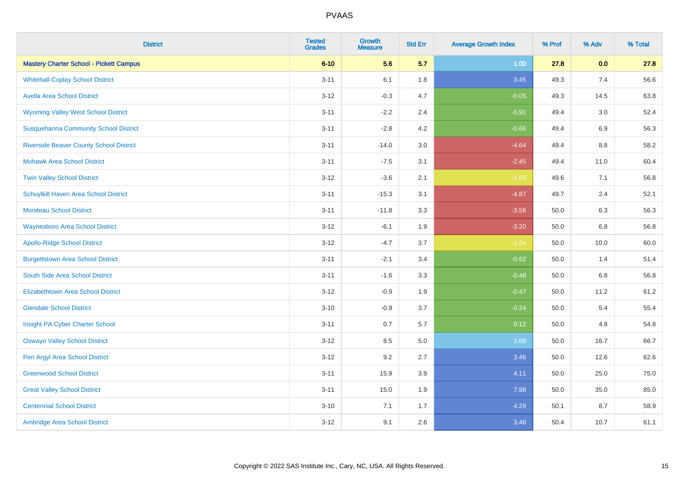| <b>District</b>                                | <b>Tested</b><br><b>Grades</b> | <b>Growth</b><br><b>Measure</b> | <b>Std Err</b> | <b>Average Growth Index</b> | % Prof | % Adv | % Total |
|------------------------------------------------|--------------------------------|---------------------------------|----------------|-----------------------------|--------|-------|---------|
| <b>Mastery Charter School - Pickett Campus</b> | $6 - 10$                       | 5.6                             | 5.7            | 1.00                        | 27.8   | 0.0   | 27.8    |
| <b>Whitehall-Coplay School District</b>        | $3 - 11$                       | 6.1                             | 1.8            | 3.45                        | 49.3   | 7.4   | 56.6    |
| <b>Avella Area School District</b>             | $3 - 12$                       | $-0.3$                          | 4.7            | $-0.05$                     | 49.3   | 14.5  | 63.8    |
| <b>Wyoming Valley West School District</b>     | $3 - 11$                       | $-2.2$                          | 2.4            | $-0.91$                     | 49.4   | 3.0   | 52.4    |
| <b>Susquehanna Community School District</b>   | $3 - 11$                       | $-2.8$                          | 4.2            | $-0.66$                     | 49.4   | 6.9   | 56.3    |
| <b>Riverside Beaver County School District</b> | $3 - 11$                       | $-14.0$                         | 3.0            | $-4.64$                     | 49.4   | 8.8   | 58.2    |
| <b>Mohawk Area School District</b>             | $3 - 11$                       | $-7.5$                          | 3.1            | $-2.45$                     | 49.4   | 11.0  | 60.4    |
| <b>Twin Valley School District</b>             | $3 - 12$                       | $-3.6$                          | 2.1            | $-1.69$                     | 49.6   | 7.1   | 56.8    |
| Schuylkill Haven Area School District          | $3 - 11$                       | $-15.3$                         | 3.1            | $-4.87$                     | 49.7   | 2.4   | 52.1    |
| <b>Moniteau School District</b>                | $3 - 11$                       | $-11.8$                         | 3.3            | $-3.56$                     | 50.0   | 6.3   | 56.3    |
| <b>Waynesboro Area School District</b>         | $3 - 12$                       | $-6.1$                          | 1.9            | $-3.20$                     | 50.0   | 6.8   | 56.8    |
| <b>Apollo-Ridge School District</b>            | $3 - 12$                       | $-4.7$                          | 3.7            | $-1.24$                     | 50.0   | 10.0  | 60.0    |
| <b>Burgettstown Area School District</b>       | $3 - 11$                       | $-2.1$                          | 3.4            | $-0.62$                     | 50.0   | 1.4   | 51.4    |
| South Side Area School District                | $3 - 11$                       | $-1.6$                          | 3.3            | $-0.48$                     | 50.0   | 6.8   | 56.8    |
| <b>Elizabethtown Area School District</b>      | $3 - 12$                       | $-0.9$                          | 1.9            | $-0.47$                     | 50.0   | 11.2  | 61.2    |
| <b>Glendale School District</b>                | $3 - 10$                       | $-0.9$                          | 3.7            | $-0.24$                     | 50.0   | 5.4   | 55.4    |
| Insight PA Cyber Charter School                | $3 - 11$                       | 0.7                             | 5.7            | 0.12                        | 50.0   | 4.8   | 54.8    |
| <b>Oswayo Valley School District</b>           | $3 - 12$                       | 8.5                             | 5.0            | 1.68                        | 50.0   | 16.7  | 66.7    |
| Pen Argyl Area School District                 | $3 - 12$                       | 9.2                             | 2.7            | 3.46                        | 50.0   | 12.6  | 62.6    |
| <b>Greenwood School District</b>               | $3 - 11$                       | 15.9                            | 3.9            | 4.11                        | 50.0   | 25.0  | 75.0    |
| <b>Great Valley School District</b>            | $3 - 11$                       | 15.0                            | 1.9            | 7.98                        | 50.0   | 35.0  | 85.0    |
| <b>Centennial School District</b>              | $3 - 10$                       | 7.1                             | 1.7            | 4.29                        | 50.1   | 8.7   | 58.9    |
| Ambridge Area School District                  | $3 - 12$                       | 9.1                             | 2.6            | 3.46                        | 50.4   | 10.7  | 61.1    |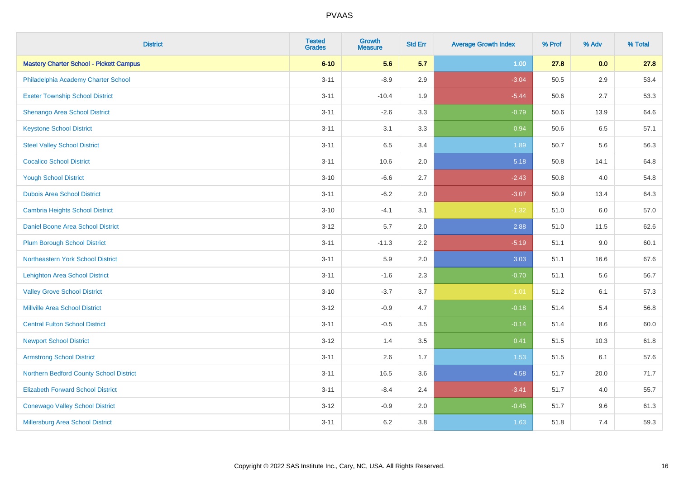| <b>District</b>                                | <b>Tested</b><br><b>Grades</b> | Growth<br><b>Measure</b> | <b>Std Err</b> | <b>Average Growth Index</b> | % Prof | % Adv | % Total |
|------------------------------------------------|--------------------------------|--------------------------|----------------|-----------------------------|--------|-------|---------|
| <b>Mastery Charter School - Pickett Campus</b> | $6 - 10$                       | 5.6                      | 5.7            | 1.00                        | 27.8   | 0.0   | 27.8    |
| Philadelphia Academy Charter School            | $3 - 11$                       | $-8.9$                   | 2.9            | $-3.04$                     | 50.5   | 2.9   | 53.4    |
| <b>Exeter Township School District</b>         | $3 - 11$                       | $-10.4$                  | 1.9            | $-5.44$                     | 50.6   | 2.7   | 53.3    |
| Shenango Area School District                  | $3 - 11$                       | $-2.6$                   | 3.3            | $-0.79$                     | 50.6   | 13.9  | 64.6    |
| <b>Keystone School District</b>                | $3 - 11$                       | 3.1                      | 3.3            | 0.94                        | 50.6   | 6.5   | 57.1    |
| <b>Steel Valley School District</b>            | $3 - 11$                       | 6.5                      | 3.4            | 1.89                        | 50.7   | 5.6   | 56.3    |
| <b>Cocalico School District</b>                | $3 - 11$                       | 10.6                     | 2.0            | 5.18                        | 50.8   | 14.1  | 64.8    |
| <b>Yough School District</b>                   | $3 - 10$                       | $-6.6$                   | 2.7            | $-2.43$                     | 50.8   | 4.0   | 54.8    |
| <b>Dubois Area School District</b>             | $3 - 11$                       | $-6.2$                   | 2.0            | $-3.07$                     | 50.9   | 13.4  | 64.3    |
| <b>Cambria Heights School District</b>         | $3 - 10$                       | $-4.1$                   | 3.1            | $-1.32$                     | 51.0   | 6.0   | 57.0    |
| Daniel Boone Area School District              | $3 - 12$                       | 5.7                      | 2.0            | 2.88                        | 51.0   | 11.5  | 62.6    |
| <b>Plum Borough School District</b>            | $3 - 11$                       | $-11.3$                  | 2.2            | $-5.19$                     | 51.1   | 9.0   | 60.1    |
| Northeastern York School District              | $3 - 11$                       | 5.9                      | 2.0            | 3.03                        | 51.1   | 16.6  | 67.6    |
| <b>Lehighton Area School District</b>          | $3 - 11$                       | $-1.6$                   | 2.3            | $-0.70$                     | 51.1   | 5.6   | 56.7    |
| <b>Valley Grove School District</b>            | $3 - 10$                       | $-3.7$                   | 3.7            | $-1.01$                     | 51.2   | 6.1   | 57.3    |
| Millville Area School District                 | $3 - 12$                       | $-0.9$                   | 4.7            | $-0.18$                     | 51.4   | 5.4   | 56.8    |
| <b>Central Fulton School District</b>          | $3 - 11$                       | $-0.5$                   | 3.5            | $-0.14$                     | 51.4   | 8.6   | 60.0    |
| <b>Newport School District</b>                 | $3 - 12$                       | 1.4                      | 3.5            | 0.41                        | 51.5   | 10.3  | 61.8    |
| <b>Armstrong School District</b>               | $3 - 11$                       | 2.6                      | 1.7            | 1.53                        | 51.5   | 6.1   | 57.6    |
| Northern Bedford County School District        | $3 - 11$                       | 16.5                     | 3.6            | 4.58                        | 51.7   | 20.0  | 71.7    |
| <b>Elizabeth Forward School District</b>       | $3 - 11$                       | $-8.4$                   | 2.4            | $-3.41$                     | 51.7   | 4.0   | 55.7    |
| <b>Conewago Valley School District</b>         | $3 - 12$                       | $-0.9$                   | 2.0            | $-0.45$                     | 51.7   | 9.6   | 61.3    |
| <b>Millersburg Area School District</b>        | $3 - 11$                       | 6.2                      | 3.8            | 1.63                        | 51.8   | 7.4   | 59.3    |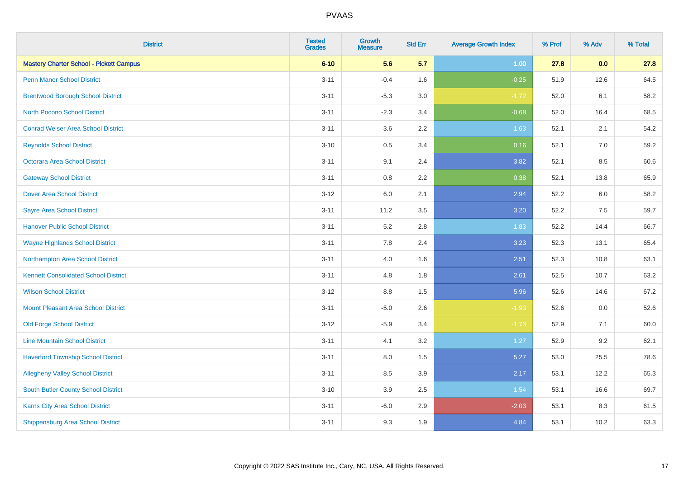| <b>District</b>                                | <b>Tested</b><br><b>Grades</b> | <b>Growth</b><br><b>Measure</b> | <b>Std Err</b> | <b>Average Growth Index</b> | % Prof | % Adv | % Total |
|------------------------------------------------|--------------------------------|---------------------------------|----------------|-----------------------------|--------|-------|---------|
| <b>Mastery Charter School - Pickett Campus</b> | $6 - 10$                       | 5.6                             | 5.7            | 1.00                        | 27.8   | 0.0   | 27.8    |
| <b>Penn Manor School District</b>              | $3 - 11$                       | $-0.4$                          | 1.6            | $-0.25$                     | 51.9   | 12.6  | 64.5    |
| <b>Brentwood Borough School District</b>       | $3 - 11$                       | $-5.3$                          | 3.0            | $-1.72$                     | 52.0   | 6.1   | 58.2    |
| <b>North Pocono School District</b>            | $3 - 11$                       | $-2.3$                          | 3.4            | $-0.68$                     | 52.0   | 16.4  | 68.5    |
| <b>Conrad Weiser Area School District</b>      | $3 - 11$                       | 3.6                             | 2.2            | 1.63                        | 52.1   | 2.1   | 54.2    |
| <b>Reynolds School District</b>                | $3 - 10$                       | 0.5                             | 3.4            | 0.16                        | 52.1   | 7.0   | 59.2    |
| <b>Octorara Area School District</b>           | $3 - 11$                       | 9.1                             | 2.4            | 3.82                        | 52.1   | 8.5   | 60.6    |
| <b>Gateway School District</b>                 | $3 - 11$                       | 0.8                             | 2.2            | 0.38                        | 52.1   | 13.8  | 65.9    |
| <b>Dover Area School District</b>              | $3 - 12$                       | 6.0                             | 2.1            | 2.94                        | 52.2   | 6.0   | 58.2    |
| <b>Sayre Area School District</b>              | $3 - 11$                       | 11.2                            | 3.5            | 3.20                        | 52.2   | 7.5   | 59.7    |
| <b>Hanover Public School District</b>          | $3 - 11$                       | 5.2                             | 2.8            | 1.83                        | 52.2   | 14.4  | 66.7    |
| <b>Wayne Highlands School District</b>         | $3 - 11$                       | 7.8                             | 2.4            | 3.23                        | 52.3   | 13.1  | 65.4    |
| Northampton Area School District               | $3 - 11$                       | $4.0\,$                         | 1.6            | 2.51                        | 52.3   | 10.8  | 63.1    |
| <b>Kennett Consolidated School District</b>    | $3 - 11$                       | 4.8                             | 1.8            | 2.61                        | 52.5   | 10.7  | 63.2    |
| <b>Wilson School District</b>                  | $3 - 12$                       | 8.8                             | 1.5            | 5.96                        | 52.6   | 14.6  | 67.2    |
| <b>Mount Pleasant Area School District</b>     | $3 - 11$                       | $-5.0$                          | 2.6            | $-1.93$                     | 52.6   | 0.0   | 52.6    |
| <b>Old Forge School District</b>               | $3 - 12$                       | $-5.9$                          | 3.4            | $-1.73$                     | 52.9   | 7.1   | 60.0    |
| <b>Line Mountain School District</b>           | $3 - 11$                       | 4.1                             | 3.2            | 1.27                        | 52.9   | 9.2   | 62.1    |
| <b>Haverford Township School District</b>      | $3 - 11$                       | 8.0                             | 1.5            | 5.27                        | 53.0   | 25.5  | 78.6    |
| <b>Allegheny Valley School District</b>        | $3 - 11$                       | 8.5                             | 3.9            | 2.17                        | 53.1   | 12.2  | 65.3    |
| South Butler County School District            | $3 - 10$                       | 3.9                             | $2.5\,$        | 1.54                        | 53.1   | 16.6  | 69.7    |
| Karns City Area School District                | $3 - 11$                       | $-6.0$                          | 2.9            | $-2.03$                     | 53.1   | 8.3   | 61.5    |
| <b>Shippensburg Area School District</b>       | $3 - 11$                       | 9.3                             | 1.9            | 4.84                        | 53.1   | 10.2  | 63.3    |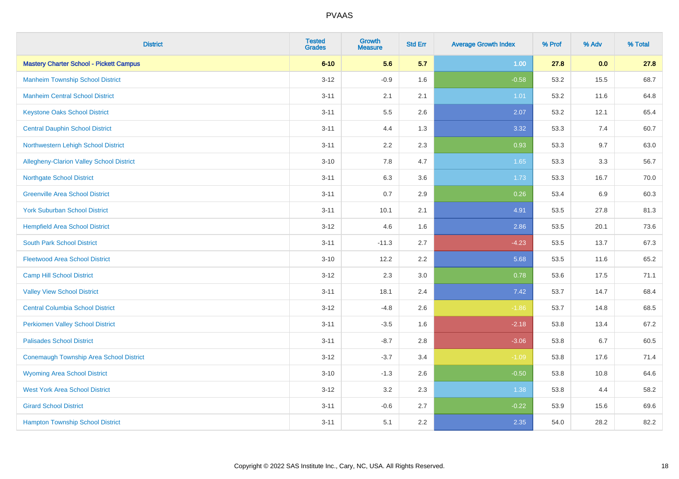| <b>District</b>                                | <b>Tested</b><br><b>Grades</b> | Growth<br><b>Measure</b> | <b>Std Err</b> | <b>Average Growth Index</b> | % Prof | % Adv | % Total |
|------------------------------------------------|--------------------------------|--------------------------|----------------|-----------------------------|--------|-------|---------|
| <b>Mastery Charter School - Pickett Campus</b> | $6 - 10$                       | 5.6                      | 5.7            | 1.00                        | 27.8   | 0.0   | 27.8    |
| <b>Manheim Township School District</b>        | $3 - 12$                       | $-0.9$                   | 1.6            | $-0.58$                     | 53.2   | 15.5  | 68.7    |
| <b>Manheim Central School District</b>         | $3 - 11$                       | 2.1                      | 2.1            | 1.01                        | 53.2   | 11.6  | 64.8    |
| <b>Keystone Oaks School District</b>           | $3 - 11$                       | 5.5                      | 2.6            | 2.07                        | 53.2   | 12.1  | 65.4    |
| <b>Central Dauphin School District</b>         | $3 - 11$                       | 4.4                      | 1.3            | 3.32                        | 53.3   | 7.4   | 60.7    |
| Northwestern Lehigh School District            | $3 - 11$                       | 2.2                      | 2.3            | 0.93                        | 53.3   | 9.7   | 63.0    |
| Allegheny-Clarion Valley School District       | $3 - 10$                       | 7.8                      | 4.7            | 1.65                        | 53.3   | 3.3   | 56.7    |
| <b>Northgate School District</b>               | $3 - 11$                       | 6.3                      | 3.6            | 1.73                        | 53.3   | 16.7  | 70.0    |
| <b>Greenville Area School District</b>         | $3 - 11$                       | 0.7                      | 2.9            | 0.26                        | 53.4   | 6.9   | 60.3    |
| <b>York Suburban School District</b>           | $3 - 11$                       | 10.1                     | 2.1            | 4.91                        | 53.5   | 27.8  | 81.3    |
| <b>Hempfield Area School District</b>          | $3 - 12$                       | 4.6                      | 1.6            | 2.86                        | 53.5   | 20.1  | 73.6    |
| <b>South Park School District</b>              | $3 - 11$                       | $-11.3$                  | 2.7            | $-4.23$                     | 53.5   | 13.7  | 67.3    |
| <b>Fleetwood Area School District</b>          | $3 - 10$                       | 12.2                     | 2.2            | 5.68                        | 53.5   | 11.6  | 65.2    |
| <b>Camp Hill School District</b>               | $3 - 12$                       | 2.3                      | 3.0            | 0.78                        | 53.6   | 17.5  | 71.1    |
| <b>Valley View School District</b>             | $3 - 11$                       | 18.1                     | 2.4            | 7.42                        | 53.7   | 14.7  | 68.4    |
| <b>Central Columbia School District</b>        | $3 - 12$                       | $-4.8$                   | 2.6            | $-1.86$                     | 53.7   | 14.8  | 68.5    |
| <b>Perkiomen Valley School District</b>        | $3 - 11$                       | $-3.5$                   | 1.6            | $-2.18$                     | 53.8   | 13.4  | 67.2    |
| <b>Palisades School District</b>               | $3 - 11$                       | $-8.7$                   | 2.8            | $-3.06$                     | 53.8   | 6.7   | 60.5    |
| <b>Conemaugh Township Area School District</b> | $3 - 12$                       | $-3.7$                   | 3.4            | $-1.09$                     | 53.8   | 17.6  | 71.4    |
| <b>Wyoming Area School District</b>            | $3 - 10$                       | $-1.3$                   | 2.6            | $-0.50$                     | 53.8   | 10.8  | 64.6    |
| <b>West York Area School District</b>          | $3 - 12$                       | 3.2                      | 2.3            | 1.38                        | 53.8   | 4.4   | 58.2    |
| <b>Girard School District</b>                  | $3 - 11$                       | $-0.6$                   | 2.7            | $-0.22$                     | 53.9   | 15.6  | 69.6    |
| <b>Hampton Township School District</b>        | $3 - 11$                       | 5.1                      | 2.2            | 2.35                        | 54.0   | 28.2  | 82.2    |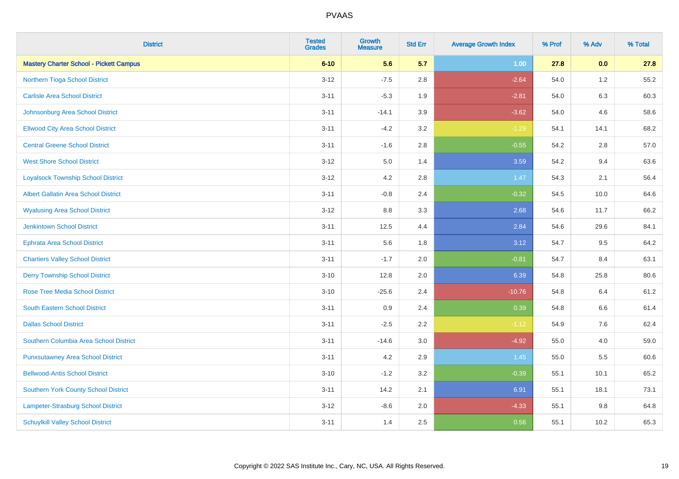| <b>District</b>                                | <b>Tested</b><br><b>Grades</b> | Growth<br><b>Measure</b> | <b>Std Err</b> | <b>Average Growth Index</b> | % Prof | % Adv | % Total |
|------------------------------------------------|--------------------------------|--------------------------|----------------|-----------------------------|--------|-------|---------|
| <b>Mastery Charter School - Pickett Campus</b> | $6 - 10$                       | 5.6                      | 5.7            | 1.00                        | 27.8   | 0.0   | 27.8    |
| Northern Tioga School District                 | $3 - 12$                       | $-7.5$                   | 2.8            | $-2.64$                     | 54.0   | 1.2   | 55.2    |
| <b>Carlisle Area School District</b>           | $3 - 11$                       | $-5.3$                   | 1.9            | $-2.81$                     | 54.0   | 6.3   | 60.3    |
| Johnsonburg Area School District               | $3 - 11$                       | $-14.1$                  | 3.9            | $-3.62$                     | 54.0   | 4.6   | 58.6    |
| <b>Ellwood City Area School District</b>       | $3 - 11$                       | $-4.2$                   | 3.2            | $-1.29$                     | 54.1   | 14.1  | 68.2    |
| <b>Central Greene School District</b>          | $3 - 11$                       | $-1.6$                   | 2.8            | $-0.55$                     | 54.2   | 2.8   | 57.0    |
| <b>West Shore School District</b>              | $3 - 12$                       | 5.0                      | 1.4            | 3.59                        | 54.2   | 9.4   | 63.6    |
| <b>Loyalsock Township School District</b>      | $3 - 12$                       | 4.2                      | 2.8            | 1.47                        | 54.3   | 2.1   | 56.4    |
| <b>Albert Gallatin Area School District</b>    | $3 - 11$                       | $-0.8$                   | 2.4            | $-0.32$                     | 54.5   | 10.0  | 64.6    |
| <b>Wyalusing Area School District</b>          | $3 - 12$                       | 8.8                      | 3.3            | 2.68                        | 54.6   | 11.7  | 66.2    |
| <b>Jenkintown School District</b>              | $3 - 11$                       | 12.5                     | 4.4            | 2.84                        | 54.6   | 29.6  | 84.1    |
| <b>Ephrata Area School District</b>            | $3 - 11$                       | 5.6                      | 1.8            | 3.12                        | 54.7   | 9.5   | 64.2    |
| <b>Chartiers Valley School District</b>        | $3 - 11$                       | $-1.7$                   | 2.0            | $-0.81$                     | 54.7   | 8.4   | 63.1    |
| <b>Derry Township School District</b>          | $3 - 10$                       | 12.8                     | 2.0            | 6.39                        | 54.8   | 25.8  | 80.6    |
| <b>Rose Tree Media School District</b>         | $3 - 10$                       | $-25.6$                  | 2.4            | $-10.76$                    | 54.8   | 6.4   | 61.2    |
| <b>South Eastern School District</b>           | $3 - 11$                       | 0.9                      | 2.4            | 0.39                        | 54.8   | 6.6   | 61.4    |
| <b>Dallas School District</b>                  | $3 - 11$                       | $-2.5$                   | 2.2            | $-1.12$                     | 54.9   | 7.6   | 62.4    |
| Southern Columbia Area School District         | $3 - 11$                       | $-14.6$                  | 3.0            | $-4.92$                     | 55.0   | 4.0   | 59.0    |
| <b>Punxsutawney Area School District</b>       | $3 - 11$                       | 4.2                      | 2.9            | 1.45                        | 55.0   | 5.5   | 60.6    |
| <b>Bellwood-Antis School District</b>          | $3 - 10$                       | $-1.2$                   | 3.2            | $-0.39$                     | 55.1   | 10.1  | 65.2    |
| <b>Southern York County School District</b>    | $3 - 11$                       | 14.2                     | 2.1            | 6.91                        | 55.1   | 18.1  | 73.1    |
| Lampeter-Strasburg School District             | $3 - 12$                       | $-8.6$                   | 2.0            | $-4.33$                     | 55.1   | 9.8   | 64.8    |
| <b>Schuylkill Valley School District</b>       | $3 - 11$                       | 1.4                      | 2.5            | 0.56                        | 55.1   | 10.2  | 65.3    |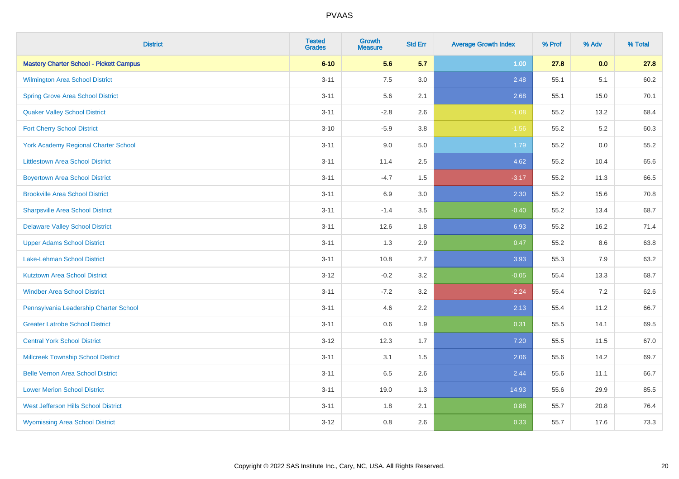| <b>District</b>                                | <b>Tested</b><br><b>Grades</b> | <b>Growth</b><br><b>Measure</b> | <b>Std Err</b> | <b>Average Growth Index</b> | % Prof | % Adv | % Total |
|------------------------------------------------|--------------------------------|---------------------------------|----------------|-----------------------------|--------|-------|---------|
| <b>Mastery Charter School - Pickett Campus</b> | $6 - 10$                       | 5.6                             | 5.7            | 1.00                        | 27.8   | 0.0   | 27.8    |
| <b>Wilmington Area School District</b>         | $3 - 11$                       | 7.5                             | 3.0            | 2.48                        | 55.1   | 5.1   | 60.2    |
| <b>Spring Grove Area School District</b>       | $3 - 11$                       | 5.6                             | 2.1            | 2.68                        | 55.1   | 15.0  | 70.1    |
| <b>Quaker Valley School District</b>           | $3 - 11$                       | $-2.8$                          | 2.6            | $-1.08$                     | 55.2   | 13.2  | 68.4    |
| <b>Fort Cherry School District</b>             | $3 - 10$                       | $-5.9$                          | 3.8            | $-1.56$                     | 55.2   | 5.2   | 60.3    |
| <b>York Academy Regional Charter School</b>    | $3 - 11$                       | 9.0                             | 5.0            | 1.79                        | 55.2   | 0.0   | 55.2    |
| <b>Littlestown Area School District</b>        | $3 - 11$                       | 11.4                            | 2.5            | 4.62                        | 55.2   | 10.4  | 65.6    |
| <b>Boyertown Area School District</b>          | $3 - 11$                       | $-4.7$                          | 1.5            | $-3.17$                     | 55.2   | 11.3  | 66.5    |
| <b>Brookville Area School District</b>         | $3 - 11$                       | 6.9                             | 3.0            | 2.30                        | 55.2   | 15.6  | 70.8    |
| <b>Sharpsville Area School District</b>        | $3 - 11$                       | $-1.4$                          | 3.5            | $-0.40$                     | 55.2   | 13.4  | 68.7    |
| <b>Delaware Valley School District</b>         | $3 - 11$                       | 12.6                            | 1.8            | 6.93                        | 55.2   | 16.2  | 71.4    |
| <b>Upper Adams School District</b>             | $3 - 11$                       | 1.3                             | 2.9            | 0.47                        | 55.2   | 8.6   | 63.8    |
| Lake-Lehman School District                    | $3 - 11$                       | 10.8                            | 2.7            | 3.93                        | 55.3   | 7.9   | 63.2    |
| <b>Kutztown Area School District</b>           | $3 - 12$                       | $-0.2$                          | 3.2            | $-0.05$                     | 55.4   | 13.3  | 68.7    |
| <b>Windber Area School District</b>            | $3 - 11$                       | $-7.2$                          | 3.2            | $-2.24$                     | 55.4   | 7.2   | 62.6    |
| Pennsylvania Leadership Charter School         | $3 - 11$                       | 4.6                             | 2.2            | 2.13                        | 55.4   | 11.2  | 66.7    |
| <b>Greater Latrobe School District</b>         | $3 - 11$                       | 0.6                             | 1.9            | 0.31                        | 55.5   | 14.1  | 69.5    |
| <b>Central York School District</b>            | $3-12$                         | 12.3                            | 1.7            | 7.20                        | 55.5   | 11.5  | 67.0    |
| <b>Millcreek Township School District</b>      | $3 - 11$                       | 3.1                             | 1.5            | 2.06                        | 55.6   | 14.2  | 69.7    |
| <b>Belle Vernon Area School District</b>       | $3 - 11$                       | 6.5                             | 2.6            | 2.44                        | 55.6   | 11.1  | 66.7    |
| <b>Lower Merion School District</b>            | $3 - 11$                       | 19.0                            | 1.3            | 14.93                       | 55.6   | 29.9  | 85.5    |
| West Jefferson Hills School District           | $3 - 11$                       | 1.8                             | 2.1            | 0.88                        | 55.7   | 20.8  | 76.4    |
| <b>Wyomissing Area School District</b>         | $3 - 12$                       | 0.8                             | 2.6            | 0.33                        | 55.7   | 17.6  | 73.3    |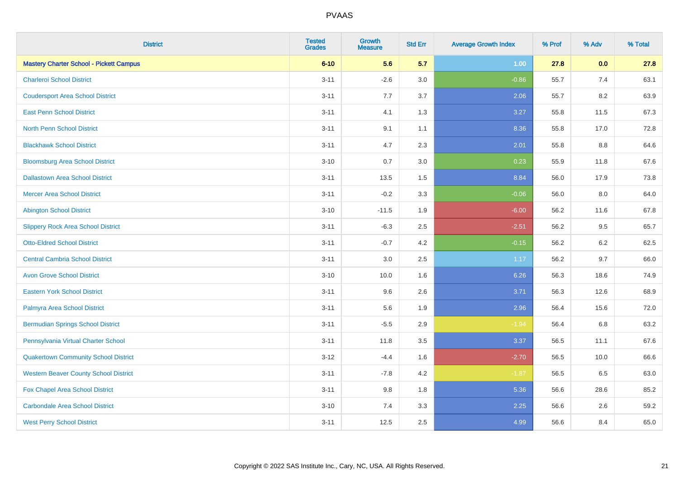| <b>District</b>                                | <b>Tested</b><br><b>Grades</b> | <b>Growth</b><br><b>Measure</b> | <b>Std Err</b> | <b>Average Growth Index</b> | % Prof | % Adv   | % Total |
|------------------------------------------------|--------------------------------|---------------------------------|----------------|-----------------------------|--------|---------|---------|
| <b>Mastery Charter School - Pickett Campus</b> | $6 - 10$                       | 5.6                             | 5.7            | 1.00                        | 27.8   | 0.0     | 27.8    |
| <b>Charleroi School District</b>               | $3 - 11$                       | $-2.6$                          | 3.0            | $-0.86$                     | 55.7   | 7.4     | 63.1    |
| <b>Coudersport Area School District</b>        | $3 - 11$                       | 7.7                             | 3.7            | 2.06                        | 55.7   | 8.2     | 63.9    |
| <b>East Penn School District</b>               | $3 - 11$                       | 4.1                             | 1.3            | 3.27                        | 55.8   | 11.5    | 67.3    |
| <b>North Penn School District</b>              | $3 - 11$                       | 9.1                             | 1.1            | 8.36                        | 55.8   | 17.0    | 72.8    |
| <b>Blackhawk School District</b>               | $3 - 11$                       | 4.7                             | 2.3            | 2.01                        | 55.8   | $8.8\,$ | 64.6    |
| <b>Bloomsburg Area School District</b>         | $3 - 10$                       | 0.7                             | 3.0            | 0.23                        | 55.9   | 11.8    | 67.6    |
| <b>Dallastown Area School District</b>         | $3 - 11$                       | 13.5                            | 1.5            | 8.84                        | 56.0   | 17.9    | 73.8    |
| <b>Mercer Area School District</b>             | $3 - 11$                       | $-0.2$                          | 3.3            | $-0.06$                     | 56.0   | 8.0     | 64.0    |
| <b>Abington School District</b>                | $3 - 10$                       | $-11.5$                         | 1.9            | $-6.00$                     | 56.2   | 11.6    | 67.8    |
| <b>Slippery Rock Area School District</b>      | $3 - 11$                       | $-6.3$                          | 2.5            | $-2.51$                     | 56.2   | 9.5     | 65.7    |
| <b>Otto-Eldred School District</b>             | $3 - 11$                       | $-0.7$                          | 4.2            | $-0.15$                     | 56.2   | 6.2     | 62.5    |
| <b>Central Cambria School District</b>         | $3 - 11$                       | $3.0\,$                         | 2.5            | 1.17                        | 56.2   | 9.7     | 66.0    |
| <b>Avon Grove School District</b>              | $3 - 10$                       | 10.0                            | 1.6            | 6.26                        | 56.3   | 18.6    | 74.9    |
| <b>Eastern York School District</b>            | $3 - 11$                       | 9.6                             | 2.6            | 3.71                        | 56.3   | 12.6    | 68.9    |
| Palmyra Area School District                   | $3 - 11$                       | 5.6                             | 1.9            | 2.96                        | 56.4   | 15.6    | 72.0    |
| <b>Bermudian Springs School District</b>       | $3 - 11$                       | $-5.5$                          | 2.9            | $-1.94$                     | 56.4   | 6.8     | 63.2    |
| Pennsylvania Virtual Charter School            | $3 - 11$                       | 11.8                            | 3.5            | 3.37                        | 56.5   | 11.1    | 67.6    |
| <b>Quakertown Community School District</b>    | $3 - 12$                       | $-4.4$                          | 1.6            | $-2.70$                     | 56.5   | 10.0    | 66.6    |
| <b>Western Beaver County School District</b>   | $3 - 11$                       | $-7.8$                          | 4.2            | $-1.87$                     | 56.5   | 6.5     | 63.0    |
| Fox Chapel Area School District                | $3 - 11$                       | 9.8                             | 1.8            | 5.36                        | 56.6   | 28.6    | 85.2    |
| <b>Carbondale Area School District</b>         | $3 - 10$                       | 7.4                             | 3.3            | 2.25                        | 56.6   | 2.6     | 59.2    |
| <b>West Perry School District</b>              | $3 - 11$                       | 12.5                            | 2.5            | 4.99                        | 56.6   | 8.4     | 65.0    |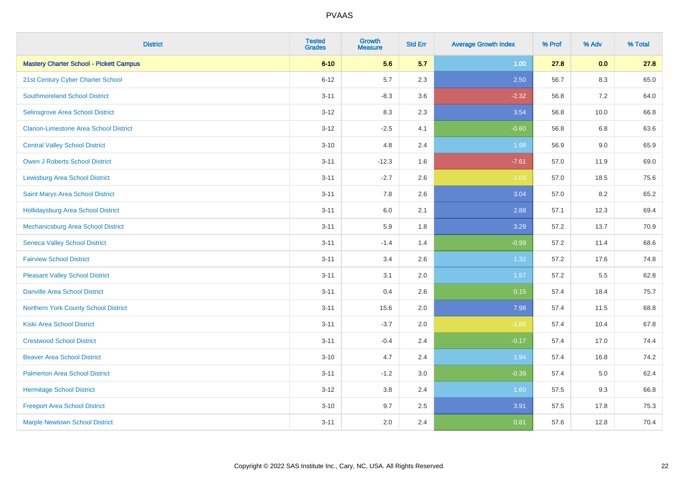| <b>District</b>                                | <b>Tested</b><br><b>Grades</b> | Growth<br><b>Measure</b> | <b>Std Err</b> | <b>Average Growth Index</b> | % Prof | % Adv | % Total |
|------------------------------------------------|--------------------------------|--------------------------|----------------|-----------------------------|--------|-------|---------|
| <b>Mastery Charter School - Pickett Campus</b> | $6 - 10$                       | 5.6                      | 5.7            | 1.00                        | 27.8   | 0.0   | 27.8    |
| 21st Century Cyber Charter School              | $6 - 12$                       | 5.7                      | 2.3            | 2.50                        | 56.7   | 8.3   | 65.0    |
| <b>Southmoreland School District</b>           | $3 - 11$                       | $-8.3$                   | 3.6            | $-2.32$                     | 56.8   | 7.2   | 64.0    |
| <b>Selinsgrove Area School District</b>        | $3 - 12$                       | 8.3                      | 2.3            | 3.54                        | 56.8   | 10.0  | 66.8    |
| <b>Clarion-Limestone Area School District</b>  | $3 - 12$                       | $-2.5$                   | 4.1            | $-0.60$                     | 56.8   | 6.8   | 63.6    |
| <b>Central Valley School District</b>          | $3 - 10$                       | 4.8                      | 2.4            | 1.98                        | 56.9   | 9.0   | 65.9    |
| Owen J Roberts School District                 | $3 - 11$                       | $-12.3$                  | 1.6            | $-7.61$                     | 57.0   | 11.9  | 69.0    |
| <b>Lewisburg Area School District</b>          | $3 - 11$                       | $-2.7$                   | 2.6            | $-1.03$                     | 57.0   | 18.5  | 75.6    |
| Saint Marys Area School District               | $3 - 11$                       | 7.8                      | 2.6            | 3.04                        | 57.0   | 8.2   | 65.2    |
| <b>Hollidaysburg Area School District</b>      | $3 - 11$                       | 6.0                      | 2.1            | 2.88                        | 57.1   | 12.3  | 69.4    |
| Mechanicsburg Area School District             | $3 - 11$                       | 5.9                      | 1.8            | 3.29                        | 57.2   | 13.7  | 70.9    |
| <b>Seneca Valley School District</b>           | $3 - 11$                       | $-1.4$                   | 1.4            | $-0.99$                     | 57.2   | 11.4  | 68.6    |
| <b>Fairview School District</b>                | $3 - 11$                       | 3.4                      | 2.6            | 1.32                        | 57.2   | 17.6  | 74.8    |
| <b>Pleasant Valley School District</b>         | $3 - 11$                       | 3.1                      | 2.0            | 1.57                        | 57.2   | 5.5   | 62.8    |
| <b>Danville Area School District</b>           | $3 - 11$                       | 0.4                      | 2.6            | 0.15                        | 57.4   | 18.4  | 75.7    |
| Northern York County School District           | $3 - 11$                       | 15.6                     | 2.0            | 7.98                        | 57.4   | 11.5  | 68.8    |
| <b>Kiski Area School District</b>              | $3 - 11$                       | $-3.7$                   | 2.0            | $-1.86$                     | 57.4   | 10.4  | 67.8    |
| <b>Crestwood School District</b>               | $3 - 11$                       | $-0.4$                   | 2.4            | $-0.17$                     | 57.4   | 17.0  | 74.4    |
| <b>Beaver Area School District</b>             | $3 - 10$                       | 4.7                      | 2.4            | 1.94                        | 57.4   | 16.8  | 74.2    |
| <b>Palmerton Area School District</b>          | $3 - 11$                       | $-1.2$                   | 3.0            | $-0.39$                     | 57.4   | 5.0   | 62.4    |
| <b>Hermitage School District</b>               | $3 - 12$                       | 3.8                      | 2.4            | 1.60                        | 57.5   | 9.3   | 66.8    |
| <b>Freeport Area School District</b>           | $3 - 10$                       | 9.7                      | 2.5            | 3.91                        | 57.5   | 17.8  | 75.3    |
| <b>Marple Newtown School District</b>          | $3 - 11$                       | 2.0                      | 2.4            | 0.81                        | 57.6   | 12.8  | 70.4    |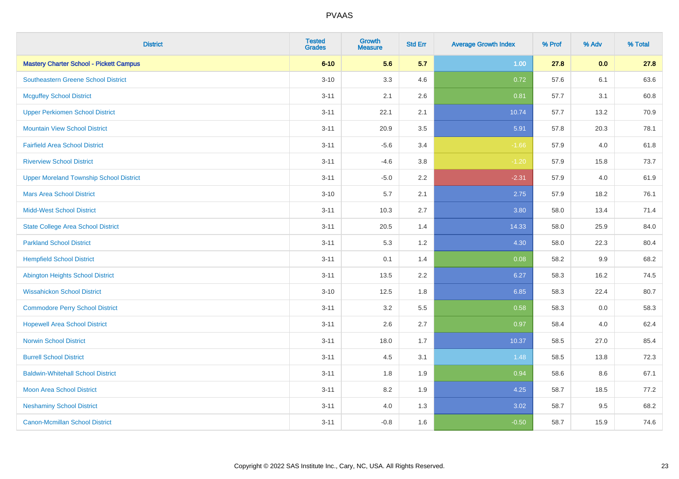| <b>District</b>                                | <b>Tested</b><br><b>Grades</b> | Growth<br><b>Measure</b> | <b>Std Err</b> | <b>Average Growth Index</b> | % Prof | % Adv | % Total |
|------------------------------------------------|--------------------------------|--------------------------|----------------|-----------------------------|--------|-------|---------|
| <b>Mastery Charter School - Pickett Campus</b> | $6 - 10$                       | 5.6                      | 5.7            | 1.00                        | 27.8   | 0.0   | 27.8    |
| <b>Southeastern Greene School District</b>     | $3 - 10$                       | 3.3                      | 4.6            | 0.72                        | 57.6   | 6.1   | 63.6    |
| <b>Mcguffey School District</b>                | $3 - 11$                       | 2.1                      | 2.6            | 0.81                        | 57.7   | 3.1   | 60.8    |
| <b>Upper Perkiomen School District</b>         | $3 - 11$                       | 22.1                     | 2.1            | 10.74                       | 57.7   | 13.2  | 70.9    |
| <b>Mountain View School District</b>           | $3 - 11$                       | 20.9                     | 3.5            | 5.91                        | 57.8   | 20.3  | 78.1    |
| <b>Fairfield Area School District</b>          | $3 - 11$                       | $-5.6$                   | 3.4            | $-1.66$                     | 57.9   | 4.0   | 61.8    |
| <b>Riverview School District</b>               | $3 - 11$                       | $-4.6$                   | 3.8            | $-1.20$                     | 57.9   | 15.8  | 73.7    |
| <b>Upper Moreland Township School District</b> | $3 - 11$                       | $-5.0$                   | 2.2            | $-2.31$                     | 57.9   | 4.0   | 61.9    |
| <b>Mars Area School District</b>               | $3 - 10$                       | 5.7                      | 2.1            | 2.75                        | 57.9   | 18.2  | 76.1    |
| <b>Midd-West School District</b>               | $3 - 11$                       | 10.3                     | 2.7            | 3.80                        | 58.0   | 13.4  | 71.4    |
| <b>State College Area School District</b>      | $3 - 11$                       | 20.5                     | 1.4            | 14.33                       | 58.0   | 25.9  | 84.0    |
| <b>Parkland School District</b>                | $3 - 11$                       | 5.3                      | 1.2            | 4.30                        | 58.0   | 22.3  | 80.4    |
| <b>Hempfield School District</b>               | $3 - 11$                       | 0.1                      | 1.4            | 0.08                        | 58.2   | 9.9   | 68.2    |
| <b>Abington Heights School District</b>        | $3 - 11$                       | 13.5                     | 2.2            | 6.27                        | 58.3   | 16.2  | 74.5    |
| <b>Wissahickon School District</b>             | $3 - 10$                       | 12.5                     | 1.8            | 6.85                        | 58.3   | 22.4  | 80.7    |
| <b>Commodore Perry School District</b>         | $3 - 11$                       | 3.2                      | 5.5            | 0.58                        | 58.3   | 0.0   | 58.3    |
| <b>Hopewell Area School District</b>           | $3 - 11$                       | 2.6                      | 2.7            | 0.97                        | 58.4   | 4.0   | 62.4    |
| <b>Norwin School District</b>                  | $3 - 11$                       | 18.0                     | 1.7            | 10.37                       | 58.5   | 27.0  | 85.4    |
| <b>Burrell School District</b>                 | $3 - 11$                       | 4.5                      | 3.1            | 1.48                        | 58.5   | 13.8  | 72.3    |
| <b>Baldwin-Whitehall School District</b>       | $3 - 11$                       | 1.8                      | 1.9            | 0.94                        | 58.6   | 8.6   | 67.1    |
| <b>Moon Area School District</b>               | $3 - 11$                       | 8.2                      | 1.9            | 4.25                        | 58.7   | 18.5  | 77.2    |
| <b>Neshaminy School District</b>               | $3 - 11$                       | 4.0                      | 1.3            | 3.02                        | 58.7   | 9.5   | 68.2    |
| <b>Canon-Mcmillan School District</b>          | $3 - 11$                       | $-0.8$                   | 1.6            | $-0.50$                     | 58.7   | 15.9  | 74.6    |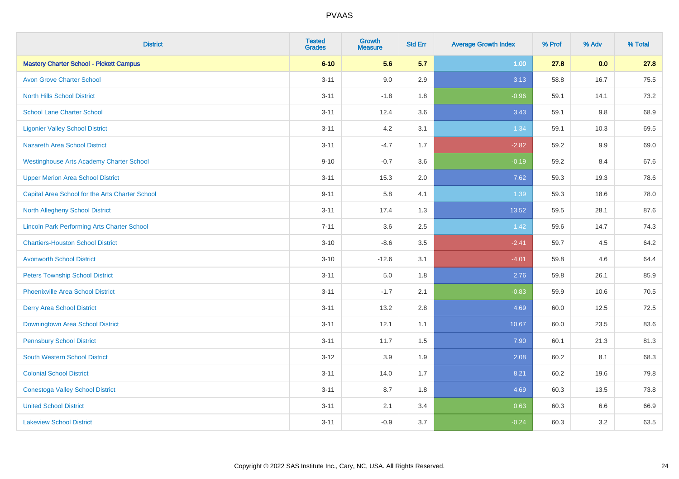| <b>District</b>                                    | <b>Tested</b><br><b>Grades</b> | Growth<br><b>Measure</b> | <b>Std Err</b> | <b>Average Growth Index</b> | % Prof | % Adv   | % Total |
|----------------------------------------------------|--------------------------------|--------------------------|----------------|-----------------------------|--------|---------|---------|
| <b>Mastery Charter School - Pickett Campus</b>     | $6 - 10$                       | 5.6                      | 5.7            | 1.00                        | 27.8   | 0.0     | 27.8    |
| <b>Avon Grove Charter School</b>                   | $3 - 11$                       | 9.0                      | 2.9            | 3.13                        | 58.8   | 16.7    | 75.5    |
| <b>North Hills School District</b>                 | $3 - 11$                       | $-1.8$                   | 1.8            | $-0.96$                     | 59.1   | 14.1    | 73.2    |
| <b>School Lane Charter School</b>                  | $3 - 11$                       | 12.4                     | 3.6            | 3.43                        | 59.1   | 9.8     | 68.9    |
| <b>Ligonier Valley School District</b>             | $3 - 11$                       | 4.2                      | 3.1            | 1.34                        | 59.1   | 10.3    | 69.5    |
| <b>Nazareth Area School District</b>               | $3 - 11$                       | $-4.7$                   | 1.7            | $-2.82$                     | 59.2   | $9.9\,$ | 69.0    |
| <b>Westinghouse Arts Academy Charter School</b>    | $9 - 10$                       | $-0.7$                   | 3.6            | $-0.19$                     | 59.2   | 8.4     | 67.6    |
| <b>Upper Merion Area School District</b>           | $3 - 11$                       | 15.3                     | 2.0            | 7.62                        | 59.3   | 19.3    | 78.6    |
| Capital Area School for the Arts Charter School    | $9 - 11$                       | 5.8                      | 4.1            | 1.39                        | 59.3   | 18.6    | 78.0    |
| <b>North Allegheny School District</b>             | $3 - 11$                       | 17.4                     | 1.3            | 13.52                       | 59.5   | 28.1    | 87.6    |
| <b>Lincoln Park Performing Arts Charter School</b> | $7 - 11$                       | 3.6                      | 2.5            | 1.42                        | 59.6   | 14.7    | 74.3    |
| <b>Chartiers-Houston School District</b>           | $3 - 10$                       | $-8.6$                   | 3.5            | $-2.41$                     | 59.7   | 4.5     | 64.2    |
| <b>Avonworth School District</b>                   | $3 - 10$                       | $-12.6$                  | 3.1            | $-4.01$                     | 59.8   | 4.6     | 64.4    |
| <b>Peters Township School District</b>             | $3 - 11$                       | 5.0                      | 1.8            | 2.76                        | 59.8   | 26.1    | 85.9    |
| <b>Phoenixville Area School District</b>           | $3 - 11$                       | $-1.7$                   | 2.1            | $-0.83$                     | 59.9   | 10.6    | 70.5    |
| <b>Derry Area School District</b>                  | $3 - 11$                       | 13.2                     | 2.8            | 4.69                        | 60.0   | 12.5    | 72.5    |
| Downingtown Area School District                   | $3 - 11$                       | 12.1                     | 1.1            | 10.67                       | 60.0   | 23.5    | 83.6    |
| <b>Pennsbury School District</b>                   | $3 - 11$                       | 11.7                     | 1.5            | 7.90                        | 60.1   | 21.3    | 81.3    |
| <b>South Western School District</b>               | $3 - 12$                       | 3.9                      | 1.9            | 2.08                        | 60.2   | 8.1     | 68.3    |
| <b>Colonial School District</b>                    | $3 - 11$                       | 14.0                     | 1.7            | 8.21                        | 60.2   | 19.6    | 79.8    |
| <b>Conestoga Valley School District</b>            | $3 - 11$                       | 8.7                      | 1.8            | 4.69                        | 60.3   | 13.5    | 73.8    |
| <b>United School District</b>                      | $3 - 11$                       | 2.1                      | 3.4            | 0.63                        | 60.3   | 6.6     | 66.9    |
| <b>Lakeview School District</b>                    | $3 - 11$                       | $-0.9$                   | 3.7            | $-0.24$                     | 60.3   | 3.2     | 63.5    |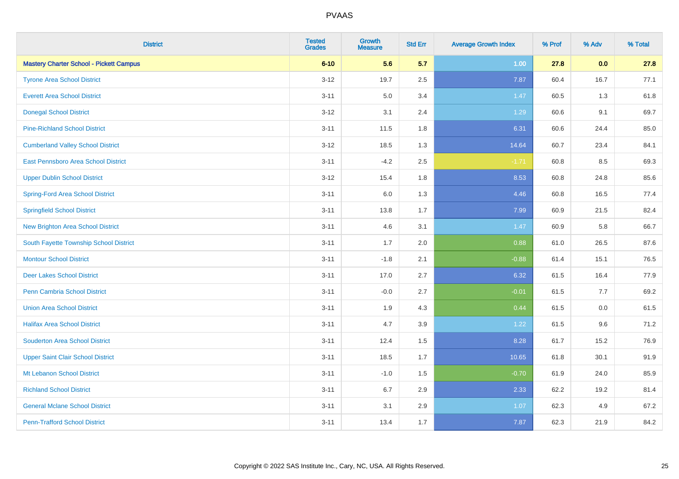| <b>District</b>                                | <b>Tested</b><br><b>Grades</b> | <b>Growth</b><br><b>Measure</b> | <b>Std Err</b> | <b>Average Growth Index</b> | % Prof | % Adv   | % Total |
|------------------------------------------------|--------------------------------|---------------------------------|----------------|-----------------------------|--------|---------|---------|
| <b>Mastery Charter School - Pickett Campus</b> | $6 - 10$                       | 5.6                             | 5.7            | 1.00                        | 27.8   | 0.0     | 27.8    |
| <b>Tyrone Area School District</b>             | $3 - 12$                       | 19.7                            | 2.5            | 7.87                        | 60.4   | 16.7    | 77.1    |
| <b>Everett Area School District</b>            | $3 - 11$                       | 5.0                             | 3.4            | 1.47                        | 60.5   | 1.3     | 61.8    |
| <b>Donegal School District</b>                 | $3 - 12$                       | 3.1                             | 2.4            | 1.29                        | 60.6   | 9.1     | 69.7    |
| <b>Pine-Richland School District</b>           | $3 - 11$                       | 11.5                            | 1.8            | 6.31                        | 60.6   | 24.4    | 85.0    |
| <b>Cumberland Valley School District</b>       | $3 - 12$                       | 18.5                            | 1.3            | 14.64                       | 60.7   | 23.4    | 84.1    |
| East Pennsboro Area School District            | $3 - 11$                       | $-4.2$                          | 2.5            | $-1.71$                     | 60.8   | 8.5     | 69.3    |
| <b>Upper Dublin School District</b>            | $3 - 12$                       | 15.4                            | 1.8            | 8.53                        | 60.8   | 24.8    | 85.6    |
| Spring-Ford Area School District               | $3 - 11$                       | 6.0                             | 1.3            | 4.46                        | 60.8   | 16.5    | 77.4    |
| <b>Springfield School District</b>             | $3 - 11$                       | 13.8                            | 1.7            | 7.99                        | 60.9   | 21.5    | 82.4    |
| <b>New Brighton Area School District</b>       | $3 - 11$                       | 4.6                             | 3.1            | 1.47                        | 60.9   | 5.8     | 66.7    |
| South Fayette Township School District         | $3 - 11$                       | 1.7                             | 2.0            | 0.88                        | 61.0   | 26.5    | 87.6    |
| <b>Montour School District</b>                 | $3 - 11$                       | $-1.8$                          | 2.1            | $-0.88$                     | 61.4   | 15.1    | 76.5    |
| <b>Deer Lakes School District</b>              | $3 - 11$                       | 17.0                            | 2.7            | 6.32                        | 61.5   | 16.4    | 77.9    |
| Penn Cambria School District                   | $3 - 11$                       | $-0.0$                          | 2.7            | $-0.01$                     | 61.5   | 7.7     | 69.2    |
| <b>Union Area School District</b>              | $3 - 11$                       | 1.9                             | 4.3            | 0.44                        | 61.5   | $0.0\,$ | 61.5    |
| <b>Halifax Area School District</b>            | $3 - 11$                       | 4.7                             | 3.9            | 1.22                        | 61.5   | 9.6     | 71.2    |
| <b>Souderton Area School District</b>          | $3 - 11$                       | 12.4                            | 1.5            | 8.28                        | 61.7   | 15.2    | 76.9    |
| <b>Upper Saint Clair School District</b>       | $3 - 11$                       | 18.5                            | 1.7            | 10.65                       | 61.8   | 30.1    | 91.9    |
| Mt Lebanon School District                     | $3 - 11$                       | $-1.0$                          | 1.5            | $-0.70$                     | 61.9   | 24.0    | 85.9    |
| <b>Richland School District</b>                | $3 - 11$                       | 6.7                             | 2.9            | 2.33                        | 62.2   | 19.2    | 81.4    |
| <b>General Mclane School District</b>          | $3 - 11$                       | 3.1                             | 2.9            | 1.07                        | 62.3   | 4.9     | 67.2    |
| <b>Penn-Trafford School District</b>           | $3 - 11$                       | 13.4                            | 1.7            | 7.87                        | 62.3   | 21.9    | 84.2    |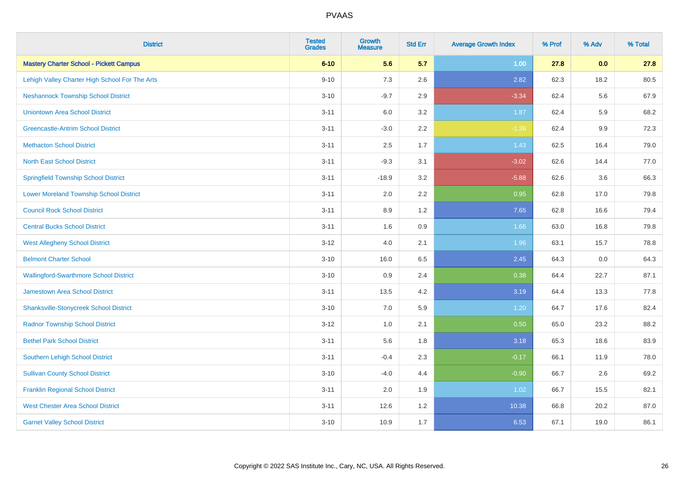| <b>District</b>                                | <b>Tested</b><br><b>Grades</b> | <b>Growth</b><br><b>Measure</b> | <b>Std Err</b> | <b>Average Growth Index</b> | % Prof | % Adv | % Total |
|------------------------------------------------|--------------------------------|---------------------------------|----------------|-----------------------------|--------|-------|---------|
| <b>Mastery Charter School - Pickett Campus</b> | $6 - 10$                       | 5.6                             | 5.7            | 1.00                        | 27.8   | 0.0   | 27.8    |
| Lehigh Valley Charter High School For The Arts | $9 - 10$                       | 7.3                             | 2.6            | 2.82                        | 62.3   | 18.2  | 80.5    |
| <b>Neshannock Township School District</b>     | $3 - 10$                       | $-9.7$                          | 2.9            | $-3.34$                     | 62.4   | 5.6   | 67.9    |
| <b>Uniontown Area School District</b>          | $3 - 11$                       | 6.0                             | 3.2            | 1.87                        | 62.4   | 5.9   | 68.2    |
| <b>Greencastle-Antrim School District</b>      | $3 - 11$                       | $-3.0$                          | 2.2            | $-1.36$                     | 62.4   | 9.9   | 72.3    |
| <b>Methacton School District</b>               | $3 - 11$                       | 2.5                             | 1.7            | 1.43                        | 62.5   | 16.4  | 79.0    |
| <b>North East School District</b>              | $3 - 11$                       | $-9.3$                          | 3.1            | $-3.02$                     | 62.6   | 14.4  | 77.0    |
| <b>Springfield Township School District</b>    | $3 - 11$                       | $-18.9$                         | 3.2            | $-5.88$                     | 62.6   | 3.6   | 66.3    |
| <b>Lower Moreland Township School District</b> | $3 - 11$                       | 2.0                             | 2.2            | 0.95                        | 62.8   | 17.0  | 79.8    |
| <b>Council Rock School District</b>            | $3 - 11$                       | 8.9                             | 1.2            | 7.65                        | 62.8   | 16.6  | 79.4    |
| <b>Central Bucks School District</b>           | $3 - 11$                       | 1.6                             | 0.9            | 1.66                        | 63.0   | 16.8  | 79.8    |
| <b>West Allegheny School District</b>          | $3 - 12$                       | 4.0                             | 2.1            | 1.96                        | 63.1   | 15.7  | 78.8    |
| <b>Belmont Charter School</b>                  | $3 - 10$                       | 16.0                            | 6.5            | 2.45                        | 64.3   | 0.0   | 64.3    |
| <b>Wallingford-Swarthmore School District</b>  | $3 - 10$                       | 0.9                             | 2.4            | 0.38                        | 64.4   | 22.7  | 87.1    |
| <b>Jamestown Area School District</b>          | $3 - 11$                       | 13.5                            | 4.2            | 3.19                        | 64.4   | 13.3  | 77.8    |
| <b>Shanksville-Stonycreek School District</b>  | $3 - 10$                       | 7.0                             | 5.9            | 1.20                        | 64.7   | 17.6  | 82.4    |
| <b>Radnor Township School District</b>         | $3 - 12$                       | 1.0                             | 2.1            | 0.50                        | 65.0   | 23.2  | 88.2    |
| <b>Bethel Park School District</b>             | $3 - 11$                       | 5.6                             | 1.8            | 3.18                        | 65.3   | 18.6  | 83.9    |
| <b>Southern Lehigh School District</b>         | $3 - 11$                       | $-0.4$                          | 2.3            | $-0.17$                     | 66.1   | 11.9  | 78.0    |
| <b>Sullivan County School District</b>         | $3 - 10$                       | $-4.0$                          | 4.4            | $-0.90$                     | 66.7   | 2.6   | 69.2    |
| <b>Franklin Regional School District</b>       | $3 - 11$                       | 2.0                             | 1.9            | 1.02                        | 66.7   | 15.5  | 82.1    |
| <b>West Chester Area School District</b>       | $3 - 11$                       | 12.6                            | 1.2            | 10.38                       | 66.8   | 20.2  | 87.0    |
| <b>Garnet Valley School District</b>           | $3 - 10$                       | 10.9                            | 1.7            | 6.53                        | 67.1   | 19.0  | 86.1    |